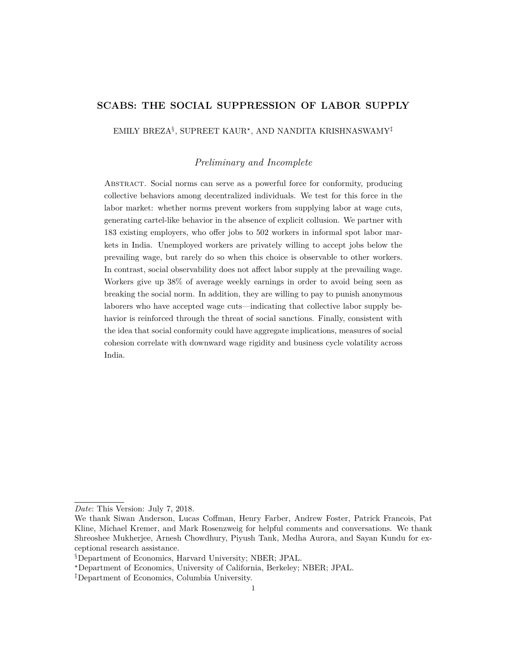# **SCABS: THE SOCIAL SUPPRESSION OF LABOR SUPPLY**

EMILY BREZA§ , SUPREET KAUR*?* , AND NANDITA KRISHNASWAMY‡

*Preliminary and Incomplete*

Abstract. Social norms can serve as a powerful force for conformity, producing collective behaviors among decentralized individuals. We test for this force in the labor market: whether norms prevent workers from supplying labor at wage cuts, generating cartel-like behavior in the absence of explicit collusion. We partner with 183 existing employers, who offer jobs to 502 workers in informal spot labor markets in India. Unemployed workers are privately willing to accept jobs below the prevailing wage, but rarely do so when this choice is observable to other workers. In contrast, social observability does not affect labor supply at the prevailing wage. Workers give up 38% of average weekly earnings in order to avoid being seen as breaking the social norm. In addition, they are willing to pay to punish anonymous laborers who have accepted wage cuts—indicating that collective labor supply behavior is reinforced through the threat of social sanctions. Finally, consistent with the idea that social conformity could have aggregate implications, measures of social cohesion correlate with downward wage rigidity and business cycle volatility across India.

*Date*: This Version: July 7, 2018.

We thank Siwan Anderson, Lucas Coffman, Henry Farber, Andrew Foster, Patrick Francois, Pat Kline, Michael Kremer, and Mark Rosenzweig for helpful comments and conversations. We thank Shreoshee Mukherjee, Arnesh Chowdhury, Piyush Tank, Medha Aurora, and Sayan Kundu for exceptional research assistance.

<sup>§</sup>Department of Economics, Harvard University; NBER; JPAL.

*<sup>?</sup>*Department of Economics, University of California, Berkeley; NBER; JPAL.

<sup>‡</sup>Department of Economics, Columbia University.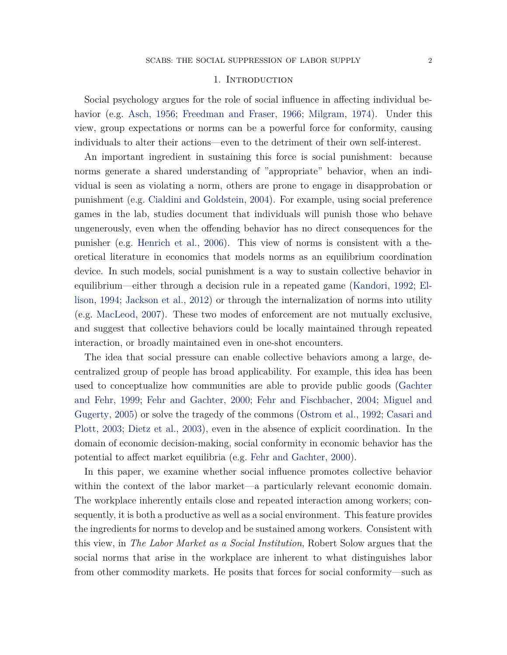#### 1. INTRODUCTION

<span id="page-1-0"></span>Social psychology argues for the role of social influence in affecting individual behavior (e.g. [Asch,](#page-24-0) [1956;](#page-24-0) [Freedman and Fraser,](#page-25-0) [1966;](#page-25-0) [Milgram,](#page-26-0) [1974\)](#page-26-0). Under this view, group expectations or norms can be a powerful force for conformity, causing individuals to alter their actions—even to the detriment of their own self-interest.

An important ingredient in sustaining this force is social punishment: because norms generate a shared understanding of "appropriate" behavior, when an individual is seen as violating a norm, others are prone to engage in disapprobation or punishment (e.g. [Cialdini and Goldstein,](#page-24-1) [2004\)](#page-24-1). For example, using social preference games in the lab, studies document that individuals will punish those who behave ungenerously, even when the offending behavior has no direct consequences for the punisher (e.g. [Henrich et al.,](#page-25-1) [2006\)](#page-25-1). This view of norms is consistent with a theoretical literature in economics that models norms as an equilibrium coordination device. In such models, social punishment is a way to sustain collective behavior in equilibrium—either through a decision rule in a repeated game [\(Kandori,](#page-25-2) [1992;](#page-25-2) [El](#page-25-3)[lison,](#page-25-3) [1994;](#page-25-3) [Jackson et al.,](#page-25-4) [2012\)](#page-25-4) or through the internalization of norms into utility (e.g. [MacLeod,](#page-25-5) [2007\)](#page-25-5). These two modes of enforcement are not mutually exclusive, and suggest that collective behaviors could be locally maintained through repeated interaction, or broadly maintained even in one-shot encounters.

The idea that social pressure can enable collective behaviors among a large, decentralized group of people has broad applicability. For example, this idea has been used to conceptualize how communities are able to provide public goods [\(Gachter](#page-25-6) [and Fehr,](#page-25-6) [1999;](#page-25-6) [Fehr and Gachter,](#page-25-7) [2000;](#page-25-7) [Fehr and Fischbacher,](#page-25-8) [2004;](#page-25-8) [Miguel and](#page-25-9) [Gugerty,](#page-25-9) [2005\)](#page-25-9) or solve the tragedy of the commons [\(Ostrom et al.,](#page-26-1) [1992;](#page-26-1) [Casari and](#page-24-2) [Plott,](#page-24-2) [2003;](#page-24-2) [Dietz et al.,](#page-24-3) [2003\)](#page-24-3), even in the absence of explicit coordination. In the domain of economic decision-making, social conformity in economic behavior has the potential to affect market equilibria (e.g. [Fehr and Gachter,](#page-25-7) [2000\)](#page-25-7).

In this paper, we examine whether social influence promotes collective behavior within the context of the labor market—a particularly relevant economic domain. The workplace inherently entails close and repeated interaction among workers; consequently, it is both a productive as well as a social environment. This feature provides the ingredients for norms to develop and be sustained among workers. Consistent with this view, in *The Labor Market as a Social Institution*, Robert Solow argues that the social norms that arise in the workplace are inherent to what distinguishes labor from other commodity markets. He posits that forces for social conformity—such as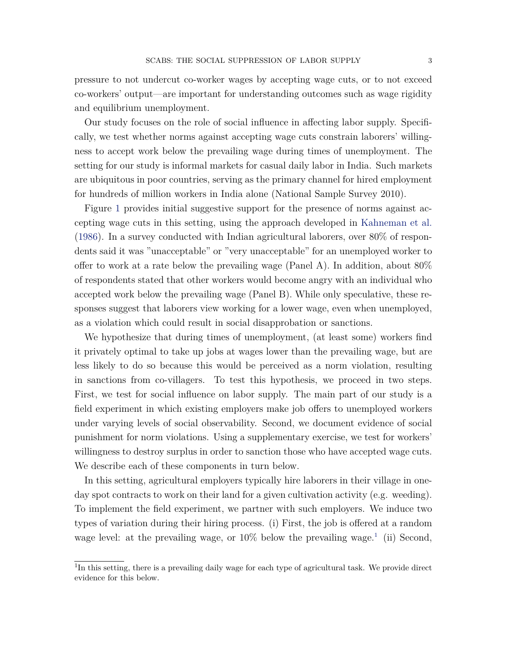pressure to not undercut co-worker wages by accepting wage cuts, or to not exceed co-workers' output—are important for understanding outcomes such as wage rigidity and equilibrium unemployment.

Our study focuses on the role of social influence in affecting labor supply. Specifically, we test whether norms against accepting wage cuts constrain laborers' willingness to accept work below the prevailing wage during times of unemployment. The setting for our study is informal markets for casual daily labor in India. Such markets are ubiquitous in poor countries, serving as the primary channel for hired employment for hundreds of million workers in India alone (National Sample Survey 2010).

Figure [1](#page-27-0) provides initial suggestive support for the presence of norms against accepting wage cuts in this setting, using the approach developed in [Kahneman et al.](#page-25-10)  $(1986)$ . In a survey conducted with Indian agricultural laborers, over  $80\%$  of respondents said it was "unacceptable" or "very unacceptable" for an unemployed worker to offer to work at a rate below the prevailing wage (Panel A). In addition, about 80% of respondents stated that other workers would become angry with an individual who accepted work below the prevailing wage (Panel B). While only speculative, these responses suggest that laborers view working for a lower wage, even when unemployed, as a violation which could result in social disapprobation or sanctions.

We hypothesize that during times of unemployment, (at least some) workers find it privately optimal to take up jobs at wages lower than the prevailing wage, but are less likely to do so because this would be perceived as a norm violation, resulting in sanctions from co-villagers. To test this hypothesis, we proceed in two steps. First, we test for social influence on labor supply. The main part of our study is a field experiment in which existing employers make job offers to unemployed workers under varying levels of social observability. Second, we document evidence of social punishment for norm violations. Using a supplementary exercise, we test for workers' willingness to destroy surplus in order to sanction those who have accepted wage cuts. We describe each of these components in turn below.

In this setting, agricultural employers typically hire laborers in their village in oneday spot contracts to work on their land for a given cultivation activity (e.g. weeding). To implement the field experiment, we partner with such employers. We induce two types of variation during their hiring process. (i) First, the job is offered at a random wage level: at the prevailing wage, or  $10\%$  $10\%$  below the prevailing wage.<sup>1</sup> (ii) Second,

<span id="page-2-0"></span><sup>&</sup>lt;sup>1</sup>In this setting, there is a prevailing daily wage for each type of agricultural task. We provide direct evidence for this below.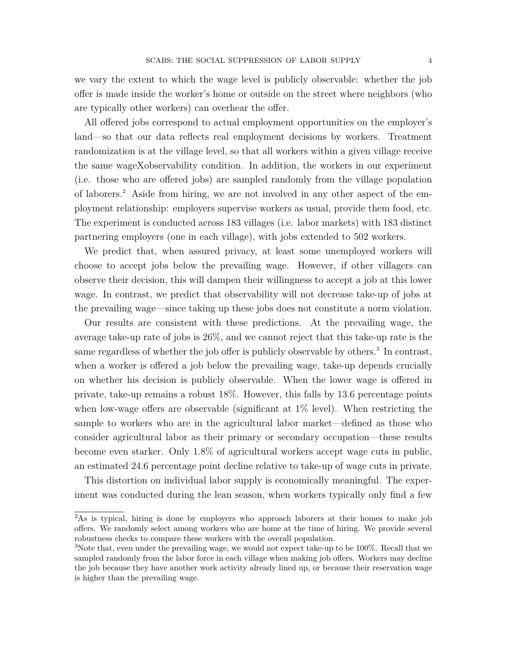we vary the extent to which the wage level is publicly observable: whether the job offer is made inside the worker's home or outside on the street where neighbors (who are typically other workers) can overhear the offer.

All offered jobs correspond to actual employment opportunities on the employer's land—so that our data reflects real employment decisions by workers. Treatment randomization is at the village level, so that all workers within a given village receive the same wageXobservability condition. In addition, the workers in our experiment (i.e. those who are offered jobs) are sampled randomly from the village population of laborers.[2](#page-3-0) Aside from hiring, we are not involved in any other aspect of the employment relationship: employers supervise workers as usual, provide them food, etc. The experiment is conducted across 183 villages (i.e. labor markets) with 183 distinct partnering employers (one in each village), with jobs extended to 502 workers.

We predict that, when assured privacy, at least some unemployed workers will choose to accept jobs below the prevailing wage. However, if other villagers can observe their decision, this will dampen their willingness to accept a job at this lower wage. In contrast, we predict that observability will not decrease take-up of jobs at the prevailing wage—since taking up these jobs does not constitute a norm violation.

Our results are consistent with these predictions. At the prevailing wage, the average take-up rate of jobs is 26%, and we cannot reject that this take-up rate is the same regardless of whether the job offer is publicly observable by others.<sup>[3](#page-3-1)</sup> In contrast, when a worker is offered a job below the prevailing wage, take-up depends crucially on whether his decision is publicly observable. When the lower wage is offered in private, take-up remains a robust 18%. However, this falls by 13.6 percentage points when low-wage offers are observable (significant at  $1\%$  level). When restricting the sample to workers who are in the agricultural labor market—defined as those who consider agricultural labor as their primary or secondary occupation—these results become even starker. Only 1.8% of agricultural workers accept wage cuts in public, an estimated 24.6 percentage point decline relative to take-up of wage cuts in private.

This distortion on individual labor supply is economically meaningful. The experiment was conducted during the lean season, when workers typically only find a few

<span id="page-3-0"></span><sup>&</sup>lt;sup>2</sup>As is typical, hiring is done by employers who approach laborers at their homes to make job offers. We randomly select among workers who are home at the time of hiring. We provide several robustness checks to compare these workers with the overall population.

<span id="page-3-1"></span><sup>&</sup>lt;sup>3</sup>Note that, even under the prevailing wage, we would not expect take-up to be 100%. Recall that we sampled randomly from the labor force in each village when making job offers. Workers may decline the job because they have another work activity already lined up, or because their reservation wage is higher than the prevailing wage.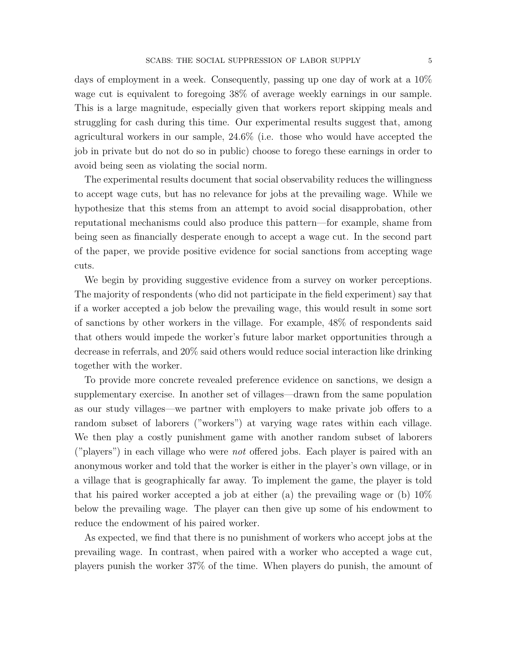days of employment in a week. Consequently, passing up one day of work at a 10% wage cut is equivalent to foregoing 38% of average weekly earnings in our sample. This is a large magnitude, especially given that workers report skipping meals and struggling for cash during this time. Our experimental results suggest that, among agricultural workers in our sample, 24.6% (i.e. those who would have accepted the job in private but do not do so in public) choose to forego these earnings in order to avoid being seen as violating the social norm.

The experimental results document that social observability reduces the willingness to accept wage cuts, but has no relevance for jobs at the prevailing wage. While we hypothesize that this stems from an attempt to avoid social disapprobation, other reputational mechanisms could also produce this pattern—for example, shame from being seen as financially desperate enough to accept a wage cut. In the second part of the paper, we provide positive evidence for social sanctions from accepting wage cuts.

We begin by providing suggestive evidence from a survey on worker perceptions. The majority of respondents (who did not participate in the field experiment) say that if a worker accepted a job below the prevailing wage, this would result in some sort of sanctions by other workers in the village. For example, 48% of respondents said that others would impede the worker's future labor market opportunities through a decrease in referrals, and 20% said others would reduce social interaction like drinking together with the worker.

To provide more concrete revealed preference evidence on sanctions, we design a supplementary exercise. In another set of villages—drawn from the same population as our study villages—we partner with employers to make private job offers to a random subset of laborers ("workers") at varying wage rates within each village. We then play a costly punishment game with another random subset of laborers ("players") in each village who were *not* offered jobs. Each player is paired with an anonymous worker and told that the worker is either in the player's own village, or in a village that is geographically far away. To implement the game, the player is told that his paired worker accepted a job at either (a) the prevailing wage or (b)  $10\%$ below the prevailing wage. The player can then give up some of his endowment to reduce the endowment of his paired worker.

As expected, we find that there is no punishment of workers who accept jobs at the prevailing wage. In contrast, when paired with a worker who accepted a wage cut, players punish the worker 37% of the time. When players do punish, the amount of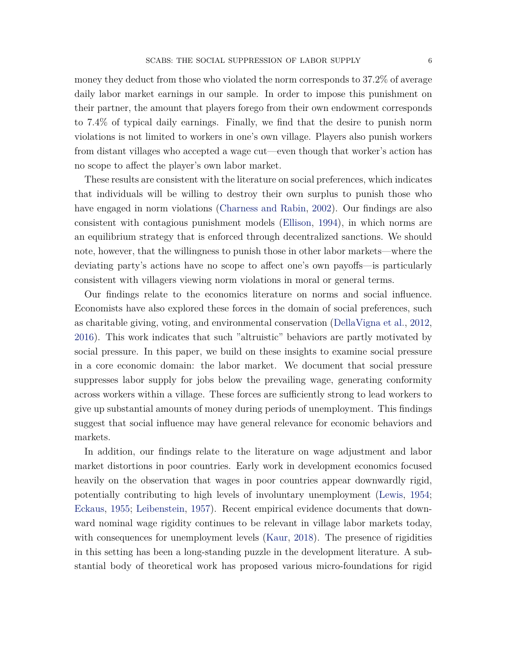money they deduct from those who violated the norm corresponds to 37.2% of average daily labor market earnings in our sample. In order to impose this punishment on their partner, the amount that players forego from their own endowment corresponds to 7.4% of typical daily earnings. Finally, we find that the desire to punish norm violations is not limited to workers in one's own village. Players also punish workers from distant villages who accepted a wage cut—even though that worker's action has no scope to affect the player's own labor market.

These results are consistent with the literature on social preferences, which indicates that individuals will be willing to destroy their own surplus to punish those who have engaged in norm violations [\(Charness and Rabin,](#page-24-4) [2002\)](#page-24-4). Our findings are also consistent with contagious punishment models [\(Ellison,](#page-25-3) [1994\)](#page-25-3), in which norms are an equilibrium strategy that is enforced through decentralized sanctions. We should note, however, that the willingness to punish those in other labor markets—where the deviating party's actions have no scope to affect one's own payoffs—is particularly consistent with villagers viewing norm violations in moral or general terms.

Our findings relate to the economics literature on norms and social influence. Economists have also explored these forces in the domain of social preferences, such as charitable giving, voting, and environmental conservation [\(DellaVigna et al.,](#page-24-5) [2012,](#page-24-5) [2016\)](#page-24-6). This work indicates that such "altruistic" behaviors are partly motivated by social pressure. In this paper, we build on these insights to examine social pressure in a core economic domain: the labor market. We document that social pressure suppresses labor supply for jobs below the prevailing wage, generating conformity across workers within a village. These forces are sufficiently strong to lead workers to give up substantial amounts of money during periods of unemployment. This findings suggest that social influence may have general relevance for economic behaviors and markets.

In addition, our findings relate to the literature on wage adjustment and labor market distortions in poor countries. Early work in development economics focused heavily on the observation that wages in poor countries appear downwardly rigid, potentially contributing to high levels of involuntary unemployment [\(Lewis,](#page-25-11) [1954;](#page-25-11) [Eckaus,](#page-24-7) [1955;](#page-24-7) [Leibenstein,](#page-25-12) [1957\)](#page-25-12). Recent empirical evidence documents that downward nominal wage rigidity continues to be relevant in village labor markets today, with consequences for unemployment levels [\(Kaur,](#page-25-13) [2018\)](#page-25-13). The presence of rigidities in this setting has been a long-standing puzzle in the development literature. A substantial body of theoretical work has proposed various micro-foundations for rigid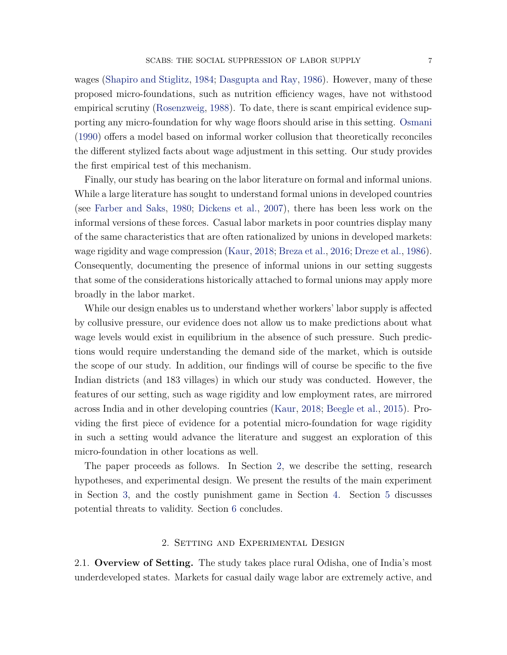wages [\(Shapiro and Stiglitz,](#page-26-2) [1984;](#page-26-2) [Dasgupta and Ray,](#page-24-8) [1986\)](#page-24-8). However, many of these proposed micro-foundations, such as nutrition efficiency wages, have not withstood empirical scrutiny [\(Rosenzweig,](#page-26-3) [1988\)](#page-26-3). To date, there is scant empirical evidence supporting any micro-foundation for why wage floors should arise in this setting. [Osmani](#page-26-4) [\(1990\)](#page-26-4) offers a model based on informal worker collusion that theoretically reconciles the different stylized facts about wage adjustment in this setting. Our study provides the first empirical test of this mechanism.

Finally, our study has bearing on the labor literature on formal and informal unions. While a large literature has sought to understand formal unions in developed countries (see [Farber and Saks,](#page-25-14) [1980;](#page-25-14) [Dickens et al.,](#page-24-9) [2007\)](#page-24-9), there has been less work on the informal versions of these forces. Casual labor markets in poor countries display many of the same characteristics that are often rationalized by unions in developed markets: wage rigidity and wage compression [\(Kaur,](#page-25-13) [2018;](#page-25-13) [Breza et al.,](#page-24-10) [2016;](#page-24-10) [Dreze et al.,](#page-24-11) [1986\)](#page-24-11). Consequently, documenting the presence of informal unions in our setting suggests that some of the considerations historically attached to formal unions may apply more broadly in the labor market.

While our design enables us to understand whether workers' labor supply is affected by collusive pressure, our evidence does not allow us to make predictions about what wage levels would exist in equilibrium in the absence of such pressure. Such predictions would require understanding the demand side of the market, which is outside the scope of our study. In addition, our findings will of course be specific to the five Indian districts (and 183 villages) in which our study was conducted. However, the features of our setting, such as wage rigidity and low employment rates, are mirrored across India and in other developing countries [\(Kaur,](#page-25-13) [2018;](#page-25-13) [Beegle et al.,](#page-24-12) [2015\)](#page-24-12). Providing the first piece of evidence for a potential micro-foundation for wage rigidity in such a setting would advance the literature and suggest an exploration of this micro-foundation in other locations as well.

The paper proceeds as follows. In Section [2,](#page-6-0) we describe the setting, research hypotheses, and experimental design. We present the results of the main experiment in Section [3,](#page-13-0) and the costly punishment game in Section [4.](#page-18-0) Section [5](#page-21-0) discusses potential threats to validity. Section [6](#page-23-0) concludes.

### 2. Setting and Experimental Design

<span id="page-6-1"></span><span id="page-6-0"></span>2.1. **Overview of Setting.** The study takes place rural Odisha, one of India's most underdeveloped states. Markets for casual daily wage labor are extremely active, and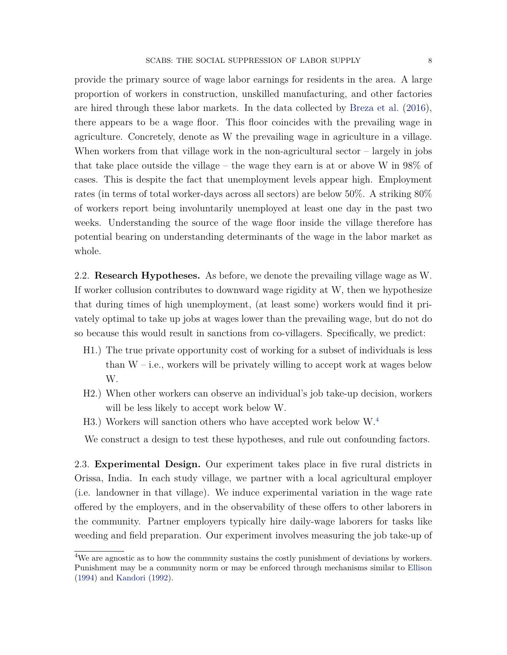provide the primary source of wage labor earnings for residents in the area. A large proportion of workers in construction, unskilled manufacturing, and other factories are hired through these labor markets. In the data collected by [Breza et al.](#page-24-10) [\(2016\)](#page-24-10), there appears to be a wage floor. This floor coincides with the prevailing wage in agriculture. Concretely, denote as W the prevailing wage in agriculture in a village. When workers from that village work in the non-agricultural sector – largely in jobs that take place outside the village – the wage they earn is at or above W in 98% of cases. This is despite the fact that unemployment levels appear high. Employment rates (in terms of total worker-days across all sectors) are below 50%. A striking 80% of workers report being involuntarily unemployed at least one day in the past two weeks. Understanding the source of the wage floor inside the village therefore has potential bearing on understanding determinants of the wage in the labor market as whole.

2.2. **Research Hypotheses.** As before, we denote the prevailing village wage as W. If worker collusion contributes to downward wage rigidity at W, then we hypothesize that during times of high unemployment, (at least some) workers would find it privately optimal to take up jobs at wages lower than the prevailing wage, but do not do so because this would result in sanctions from co-villagers. Specifically, we predict:

- H1.) The true private opportunity cost of working for a subset of individuals is less than  $W - i.e.,$  workers will be privately willing to accept work at wages below W.
- H2.) When other workers can observe an individual's job take-up decision, workers will be less likely to accept work below W.
- H3.) Workers will sanction others who have accepted work below W.<sup>[4](#page-7-0)</sup>

We construct a design to test these hypotheses, and rule out confounding factors.

2.3. **Experimental Design.** Our experiment takes place in five rural districts in Orissa, India. In each study village, we partner with a local agricultural employer (i.e. landowner in that village). We induce experimental variation in the wage rate offered by the employers, and in the observability of these offers to other laborers in the community. Partner employers typically hire daily-wage laborers for tasks like weeding and field preparation. Our experiment involves measuring the job take-up of

<span id="page-7-0"></span><sup>&</sup>lt;sup>4</sup>We are agnostic as to how the community sustains the costly punishment of deviations by workers. Punishment may be a community norm or may be enforced through mechanisms similar to [Ellison](#page-25-3) [\(1994\)](#page-25-3) and [Kandori](#page-25-2) [\(1992\)](#page-25-2).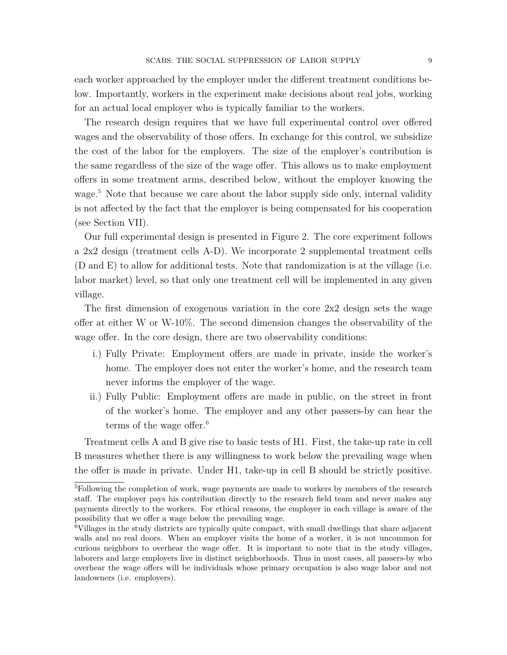each worker approached by the employer under the different treatment conditions below. Importantly, workers in the experiment make decisions about real jobs, working for an actual local employer who is typically familiar to the workers.

The research design requires that we have full experimental control over offered wages and the observability of those offers. In exchange for this control, we subsidize the cost of the labor for the employers. The size of the employer's contribution is the same regardless of the size of the wage offer. This allows us to make employment offers in some treatment arms, described below, without the employer knowing the wage.<sup>[5](#page-8-0)</sup> Note that because we care about the labor supply side only, internal validity is not affected by the fact that the employer is being compensated for his cooperation (see Section VII).

Our full experimental design is presented in Figure [2.](#page-28-0) The core experiment follows a 2x2 design (treatment cells A-D). We incorporate 2 supplemental treatment cells (D and E) to allow for additional tests. Note that randomization is at the village (i.e. labor market) level, so that only one treatment cell will be implemented in any given village.

The first dimension of exogenous variation in the core 2x2 design sets the wage offer at either W or W-10%. The second dimension changes the observability of the wage offer. In the core design, there are two observability conditions:

- i.) Fully Private: Employment offers are made in private, inside the worker's home. The employer does not enter the worker's home, and the research team never informs the employer of the wage.
- ii.) Fully Public: Employment offers are made in public, on the street in front of the worker's home. The employer and any other passers-by can hear the terms of the wage offer.<sup>[6](#page-8-1)</sup>

Treatment cells A and B give rise to basic tests of H1. First, the take-up rate in cell B measures whether there is any willingness to work below the prevailing wage when the offer is made in private. Under H1, take-up in cell B should be strictly positive.

<span id="page-8-0"></span><sup>5</sup>Following the completion of work, wage payments are made to workers by members of the research staff. The employer pays his contribution directly to the research field team and never makes any payments directly to the workers. For ethical reasons, the employer in each village is aware of the possibility that we offer a wage below the prevailing wage.

<span id="page-8-1"></span> $\frac{6}{6}$ Villages in the study districts are typically quite compact, with small dwellings that share adjacent walls and no real doors. When an employer visits the home of a worker, it is not uncommon for curious neighbors to overhear the wage offer. It is important to note that in the study villages, laborers and large employers live in distinct neighborhoods. Thus in most cases, all passers-by who overhear the wage offers will be individuals whose primary occupation is also wage labor and not landowners (i.e. employers).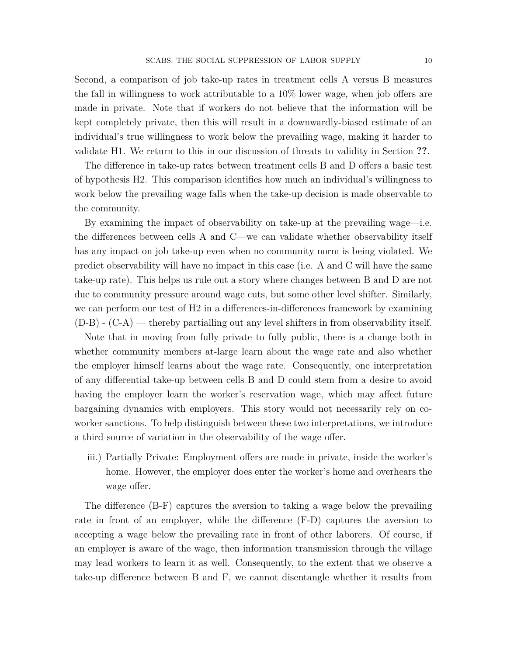Second, a comparison of job take-up rates in treatment cells A versus B measures the fall in willingness to work attributable to a 10% lower wage, when job offers are made in private. Note that if workers do not believe that the information will be kept completely private, then this will result in a downwardly-biased estimate of an individual's true willingness to work below the prevailing wage, making it harder to validate H1. We return to this in our discussion of threats to validity in Section **??**.

The difference in take-up rates between treatment cells B and D offers a basic test of hypothesis H2. This comparison identifies how much an individual's willingness to work below the prevailing wage falls when the take-up decision is made observable to the community.

By examining the impact of observability on take-up at the prevailing wage—i.e. the differences between cells A and C—we can validate whether observability itself has any impact on job take-up even when no community norm is being violated. We predict observability will have no impact in this case (i.e. A and C will have the same take-up rate). This helps us rule out a story where changes between B and D are not due to community pressure around wage cuts, but some other level shifter. Similarly, we can perform our test of H2 in a differences-in-differences framework by examining  $(D-B)$  -  $(C-A)$  — thereby partialling out any level shifters in from observability itself.

Note that in moving from fully private to fully public, there is a change both in whether community members at-large learn about the wage rate and also whether the employer himself learns about the wage rate. Consequently, one interpretation of any differential take-up between cells B and D could stem from a desire to avoid having the employer learn the worker's reservation wage, which may affect future bargaining dynamics with employers. This story would not necessarily rely on coworker sanctions. To help distinguish between these two interpretations, we introduce a third source of variation in the observability of the wage offer.

iii.) Partially Private: Employment offers are made in private, inside the worker's home. However, the employer does enter the worker's home and overhears the wage offer.

The difference (B-F) captures the aversion to taking a wage below the prevailing rate in front of an employer, while the difference (F-D) captures the aversion to accepting a wage below the prevailing rate in front of other laborers. Of course, if an employer is aware of the wage, then information transmission through the village may lead workers to learn it as well. Consequently, to the extent that we observe a take-up difference between B and F, we cannot disentangle whether it results from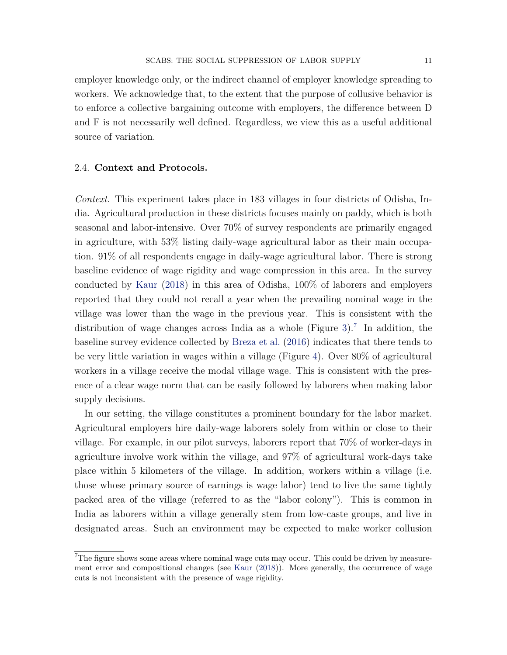employer knowledge only, or the indirect channel of employer knowledge spreading to workers. We acknowledge that, to the extent that the purpose of collusive behavior is to enforce a collective bargaining outcome with employers, the difference between D and F is not necessarily well defined. Regardless, we view this as a useful additional source of variation.

### 2.4. **Context and Protocols.**

<span id="page-10-1"></span>*Context.* This experiment takes place in 183 villages in four districts of Odisha, India. Agricultural production in these districts focuses mainly on paddy, which is both seasonal and labor-intensive. Over 70% of survey respondents are primarily engaged in agriculture, with 53% listing daily-wage agricultural labor as their main occupation. 91% of all respondents engage in daily-wage agricultural labor. There is strong baseline evidence of wage rigidity and wage compression in this area. In the survey conducted by [Kaur](#page-25-13) [\(2018\)](#page-25-13) in this area of Odisha, 100% of laborers and employers reported that they could not recall a year when the prevailing nominal wage in the village was lower than the wage in the previous year. This is consistent with the distribution of wage changes across India as a whole (Figure [3\)](#page-28-1).<sup>[7](#page-10-0)</sup> In addition, the baseline survey evidence collected by [Breza et al.](#page-24-10) [\(2016\)](#page-24-10) indicates that there tends to be very little variation in wages within a village (Figure [4\)](#page-29-0). Over 80% of agricultural workers in a village receive the modal village wage. This is consistent with the presence of a clear wage norm that can be easily followed by laborers when making labor supply decisions.

In our setting, the village constitutes a prominent boundary for the labor market. Agricultural employers hire daily-wage laborers solely from within or close to their village. For example, in our pilot surveys, laborers report that 70% of worker-days in agriculture involve work within the village, and 97% of agricultural work-days take place within 5 kilometers of the village. In addition, workers within a village (i.e. those whose primary source of earnings is wage labor) tend to live the same tightly packed area of the village (referred to as the "labor colony"). This is common in India as laborers within a village generally stem from low-caste groups, and live in designated areas. Such an environment may be expected to make worker collusion

<span id="page-10-0"></span><sup>7</sup>The figure shows some areas where nominal wage cuts may occur. This could be driven by measurement error and compositional changes (see [Kaur](#page-25-13) [\(2018\)](#page-25-13)). More generally, the occurrence of wage cuts is not inconsistent with the presence of wage rigidity.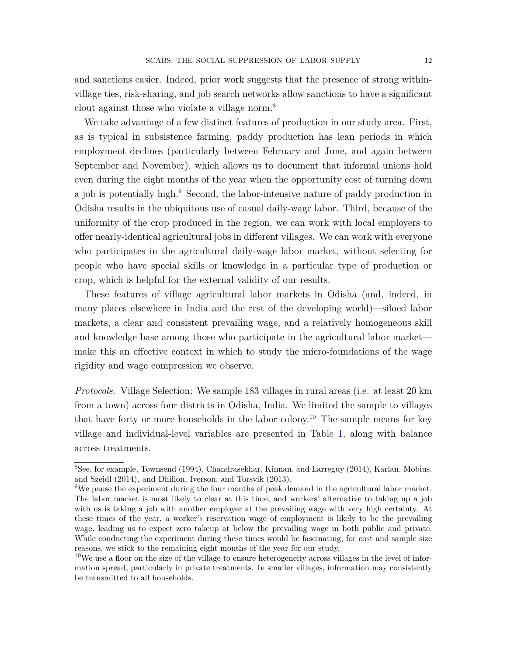and sanctions easier. Indeed, prior work suggests that the presence of strong withinvillage ties, risk-sharing, and job search networks allow sanctions to have a significant clout against those who violate a village norm.[8](#page-11-0)

We take advantage of a few distinct features of production in our study area. First, as is typical in subsistence farming, paddy production has lean periods in which employment declines (particularly between February and June, and again between September and November), which allows us to document that informal unions hold even during the eight months of the year when the opportunity cost of turning down a job is potentially high.[9](#page-11-1) Second, the labor-intensive nature of paddy production in Odisha results in the ubiquitous use of casual daily-wage labor. Third, because of the uniformity of the crop produced in the region, we can work with local employers to offer nearly-identical agricultural jobs in different villages. We can work with everyone who participates in the agricultural daily-wage labor market, without selecting for people who have special skills or knowledge in a particular type of production or crop, which is helpful for the external validity of our results.

These features of village agricultural labor markets in Odisha (and, indeed, in many places elsewhere in India and the rest of the developing world)—siloed labor markets, a clear and consistent prevailing wage, and a relatively homogeneous skill and knowledge base among those who participate in the agricultural labor market make this an effective context in which to study the micro-foundations of the wage rigidity and wage compression we observe.

*Protocols.* Village Selection: We sample 183 villages in rural areas (i.e. at least 20 km from a town) across four districts in Odisha, India. We limited the sample to villages that have forty or more households in the labor colony.<sup>[10](#page-11-2)</sup> The sample means for key village and individual-level variables are presented in Table [1,](#page-33-0) along with balance across treatments.

<span id="page-11-0"></span><sup>8</sup>See, for example, Townsend (1994), Chandrasekhar, Kinnan, and Larreguy (2014), Karlan, Mobius, and Szeidl (2014), and Dhillon, Iverson, and Torsvik (2013).

<span id="page-11-1"></span><sup>9</sup>We pause the experiment during the four months of peak demand in the agricultural labor market. The labor market is most likely to clear at this time, and workers' alternative to taking up a job with us is taking a job with another employer at the prevailing wage with very high certainty. At these times of the year, a worker's reservation wage of employment is likely to be the prevailing wage, leading us to expect zero takeup at below the prevailing wage in both public and private. While conducting the experiment during these times would be fascinating, for cost and sample size reasons, we stick to the remaining eight months of the year for our study.

<span id="page-11-2"></span> $10$ We use a floor on the size of the village to ensure heterogeneity across villages in the level of information spread, particularly in private treatments. In smaller villages, information may consistently be transmitted to all households.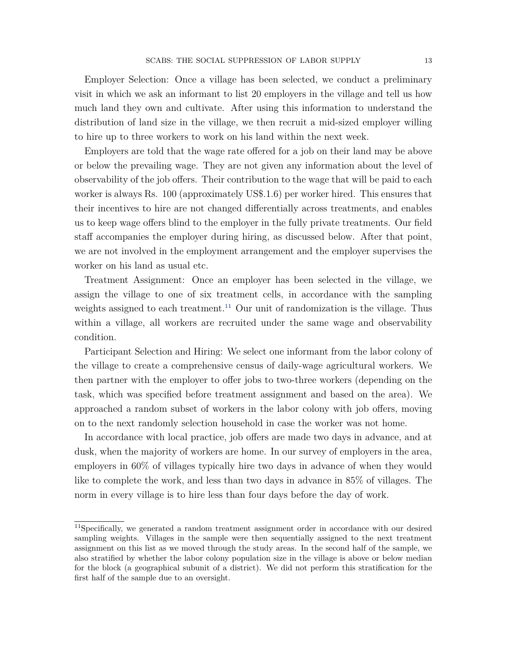Employer Selection: Once a village has been selected, we conduct a preliminary visit in which we ask an informant to list 20 employers in the village and tell us how much land they own and cultivate. After using this information to understand the distribution of land size in the village, we then recruit a mid-sized employer willing to hire up to three workers to work on his land within the next week.

Employers are told that the wage rate offered for a job on their land may be above or below the prevailing wage. They are not given any information about the level of observability of the job offers. Their contribution to the wage that will be paid to each worker is always Rs. 100 (approximately US\$.1.6) per worker hired. This ensures that their incentives to hire are not changed differentially across treatments, and enables us to keep wage offers blind to the employer in the fully private treatments. Our field staff accompanies the employer during hiring, as discussed below. After that point, we are not involved in the employment arrangement and the employer supervises the worker on his land as usual etc.

Treatment Assignment: Once an employer has been selected in the village, we assign the village to one of six treatment cells, in accordance with the sampling weights assigned to each treatment.<sup>[11](#page-12-0)</sup> Our unit of randomization is the village. Thus within a village, all workers are recruited under the same wage and observability condition.

Participant Selection and Hiring: We select one informant from the labor colony of the village to create a comprehensive census of daily-wage agricultural workers. We then partner with the employer to offer jobs to two-three workers (depending on the task, which was specified before treatment assignment and based on the area). We approached a random subset of workers in the labor colony with job offers, moving on to the next randomly selection household in case the worker was not home.

In accordance with local practice, job offers are made two days in advance, and at dusk, when the majority of workers are home. In our survey of employers in the area, employers in 60% of villages typically hire two days in advance of when they would like to complete the work, and less than two days in advance in 85% of villages. The norm in every village is to hire less than four days before the day of work.

<span id="page-12-0"></span><sup>&</sup>lt;sup>11</sup>Specifically, we generated a random treatment assignment order in accordance with our desired sampling weights. Villages in the sample were then sequentially assigned to the next treatment assignment on this list as we moved through the study areas. In the second half of the sample, we also stratified by whether the labor colony population size in the village is above or below median for the block (a geographical subunit of a district). We did not perform this stratification for the first half of the sample due to an oversight.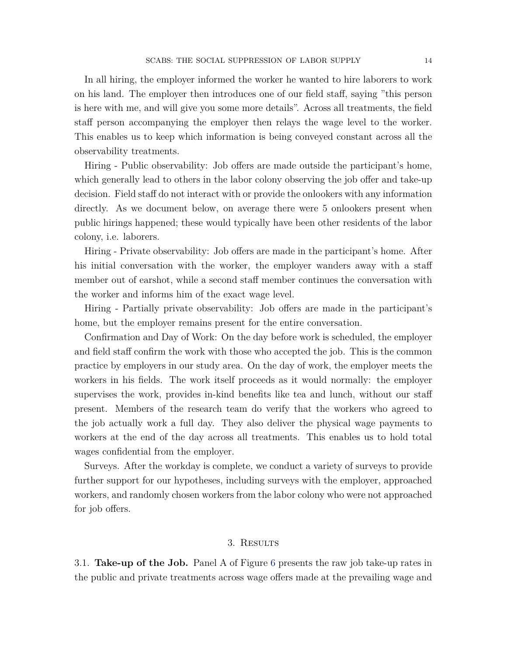In all hiring, the employer informed the worker he wanted to hire laborers to work on his land. The employer then introduces one of our field staff, saying "this person is here with me, and will give you some more details". Across all treatments, the field staff person accompanying the employer then relays the wage level to the worker. This enables us to keep which information is being conveyed constant across all the observability treatments.

Hiring - Public observability: Job offers are made outside the participant's home, which generally lead to others in the labor colony observing the job offer and take-up decision. Field staff do not interact with or provide the onlookers with any information directly. As we document below, on average there were 5 onlookers present when public hirings happened; these would typically have been other residents of the labor colony, i.e. laborers.

Hiring - Private observability: Job offers are made in the participant's home. After his initial conversation with the worker, the employer wanders away with a staff member out of earshot, while a second staff member continues the conversation with the worker and informs him of the exact wage level.

Hiring - Partially private observability: Job offers are made in the participant's home, but the employer remains present for the entire conversation.

Confirmation and Day of Work: On the day before work is scheduled, the employer and field staff confirm the work with those who accepted the job. This is the common practice by employers in our study area. On the day of work, the employer meets the workers in his fields. The work itself proceeds as it would normally: the employer supervises the work, provides in-kind benefits like tea and lunch, without our staff present. Members of the research team do verify that the workers who agreed to the job actually work a full day. They also deliver the physical wage payments to workers at the end of the day across all treatments. This enables us to hold total wages confidential from the employer.

Surveys. After the workday is complete, we conduct a variety of surveys to provide further support for our hypotheses, including surveys with the employer, approached workers, and randomly chosen workers from the labor colony who were not approached for job offers.

#### 3. Results

<span id="page-13-0"></span>3.1. **Take-up of the Job.** Panel A of Figure [6](#page-30-0) presents the raw job take-up rates in the public and private treatments across wage offers made at the prevailing wage and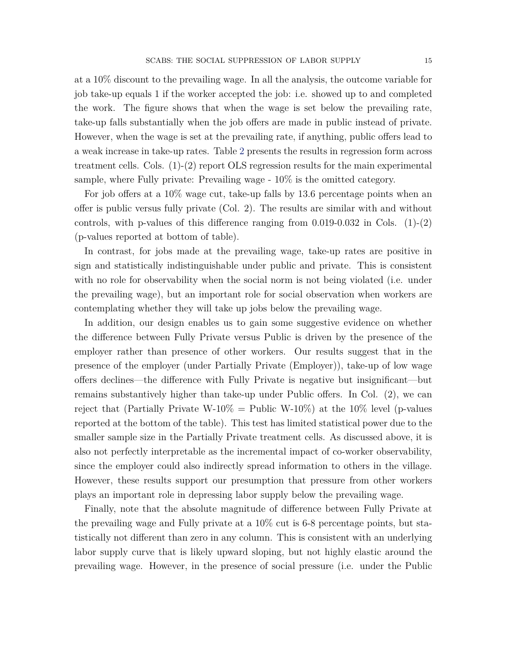at a 10% discount to the prevailing wage. In all the analysis, the outcome variable for job take-up equals 1 if the worker accepted the job: i.e. showed up to and completed the work. The figure shows that when the wage is set below the prevailing rate, take-up falls substantially when the job offers are made in public instead of private. However, when the wage is set at the prevailing rate, if anything, public offers lead to a weak increase in take-up rates. Table [2](#page-34-0) presents the results in regression form across treatment cells. Cols. (1)-(2) report OLS regression results for the main experimental sample, where Fully private: Prevailing wage - 10% is the omitted category.

For job offers at a 10% wage cut, take-up falls by 13.6 percentage points when an offer is public versus fully private (Col. 2). The results are similar with and without controls, with p-values of this difference ranging from  $0.019$ -0.032 in Cols.  $(1)-(2)$ (p-values reported at bottom of table).

In contrast, for jobs made at the prevailing wage, take-up rates are positive in sign and statistically indistinguishable under public and private. This is consistent with no role for observability when the social norm is not being violated (i.e. under the prevailing wage), but an important role for social observation when workers are contemplating whether they will take up jobs below the prevailing wage.

In addition, our design enables us to gain some suggestive evidence on whether the difference between Fully Private versus Public is driven by the presence of the employer rather than presence of other workers. Our results suggest that in the presence of the employer (under Partially Private (Employer)), take-up of low wage offers declines—the difference with Fully Private is negative but insignificant—but remains substantively higher than take-up under Public offers. In Col. (2), we can reject that (Partially Private W-10% = Public W-10%) at the 10% level (p-values reported at the bottom of the table). This test has limited statistical power due to the smaller sample size in the Partially Private treatment cells. As discussed above, it is also not perfectly interpretable as the incremental impact of co-worker observability, since the employer could also indirectly spread information to others in the village. However, these results support our presumption that pressure from other workers plays an important role in depressing labor supply below the prevailing wage.

Finally, note that the absolute magnitude of difference between Fully Private at the prevailing wage and Fully private at a 10% cut is 6-8 percentage points, but statistically not different than zero in any column. This is consistent with an underlying labor supply curve that is likely upward sloping, but not highly elastic around the prevailing wage. However, in the presence of social pressure (i.e. under the Public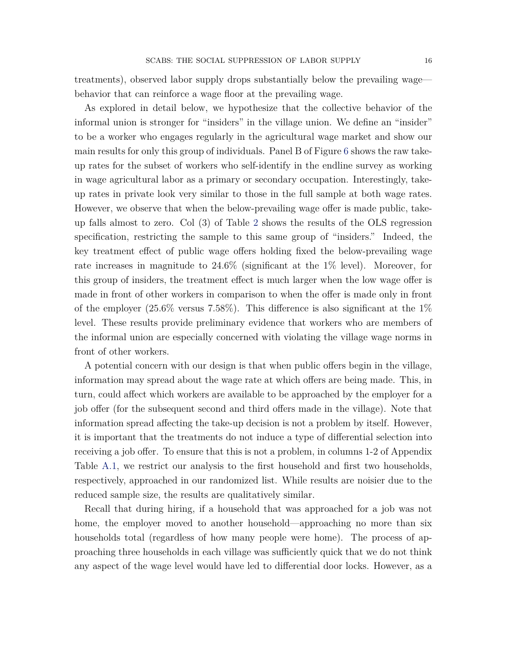treatments), observed labor supply drops substantially below the prevailing wage behavior that can reinforce a wage floor at the prevailing wage.

As explored in detail below, we hypothesize that the collective behavior of the informal union is stronger for "insiders" in the village union. We define an "insider" to be a worker who engages regularly in the agricultural wage market and show our main results for only this group of individuals. Panel B of Figure [6](#page-30-0) shows the raw takeup rates for the subset of workers who self-identify in the endline survey as working in wage agricultural labor as a primary or secondary occupation. Interestingly, takeup rates in private look very similar to those in the full sample at both wage rates. However, we observe that when the below-prevailing wage offer is made public, takeup falls almost to zero. Col (3) of Table [2](#page-34-0) shows the results of the OLS regression specification, restricting the sample to this same group of "insiders." Indeed, the key treatment effect of public wage offers holding fixed the below-prevailing wage rate increases in magnitude to 24.6% (significant at the 1% level). Moreover, for this group of insiders, the treatment effect is much larger when the low wage offer is made in front of other workers in comparison to when the offer is made only in front of the employer  $(25.6\%$  versus 7.58%). This difference is also significant at the 1% level. These results provide preliminary evidence that workers who are members of the informal union are especially concerned with violating the village wage norms in front of other workers.

A potential concern with our design is that when public offers begin in the village, information may spread about the wage rate at which offers are being made. This, in turn, could affect which workers are available to be approached by the employer for a job offer (for the subsequent second and third offers made in the village). Note that information spread affecting the take-up decision is not a problem by itself. However, it is important that the treatments do not induce a type of differential selection into receiving a job offer. To ensure that this is not a problem, in columns 1-2 of Appendix Table [A.1,](#page-39-0) we restrict our analysis to the first household and first two households, respectively, approached in our randomized list. While results are noisier due to the reduced sample size, the results are qualitatively similar.

Recall that during hiring, if a household that was approached for a job was not home, the employer moved to another household—approaching no more than six households total (regardless of how many people were home). The process of approaching three households in each village was sufficiently quick that we do not think any aspect of the wage level would have led to differential door locks. However, as a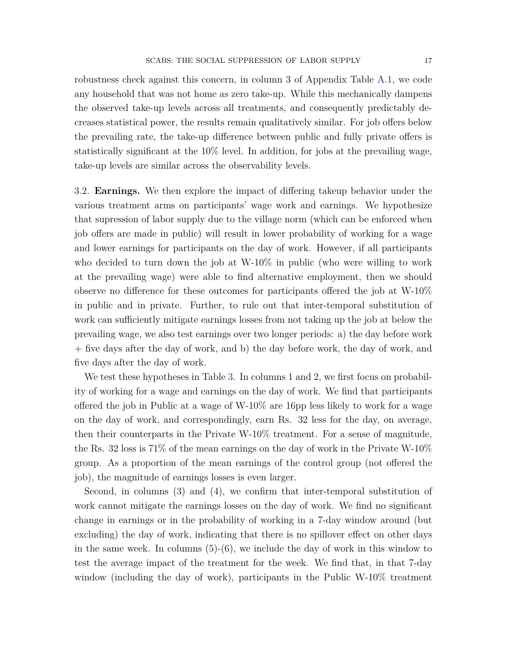robustness check against this concern, in column 3 of Appendix Table [A.1,](#page-39-0) we code any household that was not home as zero take-up. While this mechanically dampens the observed take-up levels across all treatments, and consequently predictably decreases statistical power, the results remain qualitatively similar. For job offers below the prevailing rate, the take-up difference between public and fully private offers is statistically significant at the 10% level. In addition, for jobs at the prevailing wage, take-up levels are similar across the observability levels.

3.2. **Earnings.** We then explore the impact of differing takeup behavior under the various treatment arms on participants' wage work and earnings. We hypothesize that supression of labor supply due to the village norm (which can be enforced when job offers are made in public) will result in lower probability of working for a wage and lower earnings for participants on the day of work. However, if all participants who decided to turn down the job at W-10% in public (who were willing to work at the prevailing wage) were able to find alternative employment, then we should observe no difference for these outcomes for participants offered the job at W-10% in public and in private. Further, to rule out that inter-temporal substitution of work can sufficiently mitigate earnings losses from not taking up the job at below the prevailing wage, we also test earnings over two longer periods: a) the day before work + five days after the day of work, and b) the day before work, the day of work, and five days after the day of work.

We test these hypotheses in Table [3.](#page-35-0) In columns 1 and 2, we first focus on probability of working for a wage and earnings on the day of work. We find that participants offered the job in Public at a wage of W-10% are 16pp less likely to work for a wage on the day of work, and correspondingly, earn Rs. 32 less for the day, on average, then their counterparts in the Private W-10% treatment. For a sense of magnitude, the Rs. 32 loss is  $71\%$  of the mean earnings on the day of work in the Private W-10% group. As a proportion of the mean earnings of the control group (not offered the job), the magnitude of earnings losses is even larger.

Second, in columns (3) and (4), we confirm that inter-temporal substitution of work cannot mitigate the earnings losses on the day of work. We find no significant change in earnings or in the probability of working in a 7-day window around (but excluding) the day of work, indicating that there is no spillover effect on other days in the same week. In columns  $(5)-(6)$ , we include the day of work in this window to test the average impact of the treatment for the week. We find that, in that 7-day window (including the day of work), participants in the Public W-10% treatment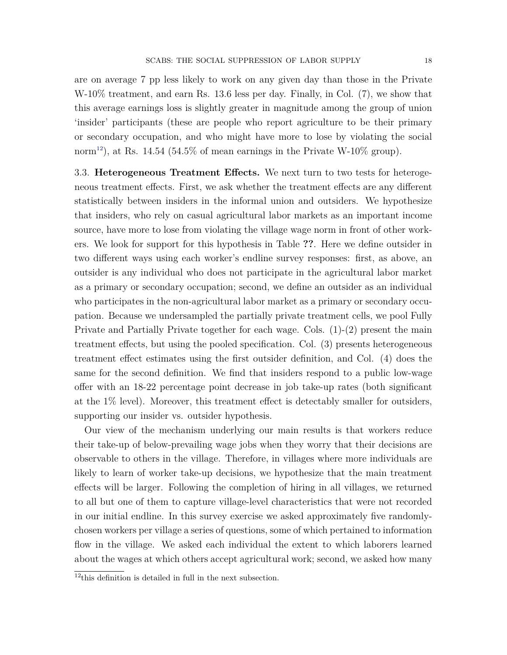are on average 7 pp less likely to work on any given day than those in the Private W-10% treatment, and earn Rs. 13.6 less per day. Finally, in Col. (7), we show that this average earnings loss is slightly greater in magnitude among the group of union 'insider' participants (these are people who report agriculture to be their primary or secondary occupation, and who might have more to lose by violating the social norm<sup>[12](#page-17-0)</sup>), at Rs. 14.54 (54.5% of mean earnings in the Private W-10% group).

3.3. **Heterogeneous Treatment Effects.** We next turn to two tests for heterogeneous treatment effects. First, we ask whether the treatment effects are any different statistically between insiders in the informal union and outsiders. We hypothesize that insiders, who rely on casual agricultural labor markets as an important income source, have more to lose from violating the village wage norm in front of other workers. We look for support for this hypothesis in Table **??**. Here we define outsider in two different ways using each worker's endline survey responses: first, as above, an outsider is any individual who does not participate in the agricultural labor market as a primary or secondary occupation; second, we define an outsider as an individual who participates in the non-agricultural labor market as a primary or secondary occupation. Because we undersampled the partially private treatment cells, we pool Fully Private and Partially Private together for each wage. Cols. (1)-(2) present the main treatment effects, but using the pooled specification. Col. (3) presents heterogeneous treatment effect estimates using the first outsider definition, and Col. (4) does the same for the second definition. We find that insiders respond to a public low-wage offer with an 18-22 percentage point decrease in job take-up rates (both significant at the 1% level). Moreover, this treatment effect is detectably smaller for outsiders, supporting our insider vs. outsider hypothesis.

Our view of the mechanism underlying our main results is that workers reduce their take-up of below-prevailing wage jobs when they worry that their decisions are observable to others in the village. Therefore, in villages where more individuals are likely to learn of worker take-up decisions, we hypothesize that the main treatment effects will be larger. Following the completion of hiring in all villages, we returned to all but one of them to capture village-level characteristics that were not recorded in our initial endline. In this survey exercise we asked approximately five randomlychosen workers per village a series of questions, some of which pertained to information flow in the village. We asked each individual the extent to which laborers learned about the wages at which others accept agricultural work; second, we asked how many

<span id="page-17-0"></span> $12$ <sup>this</sup> definition is detailed in full in the next subsection.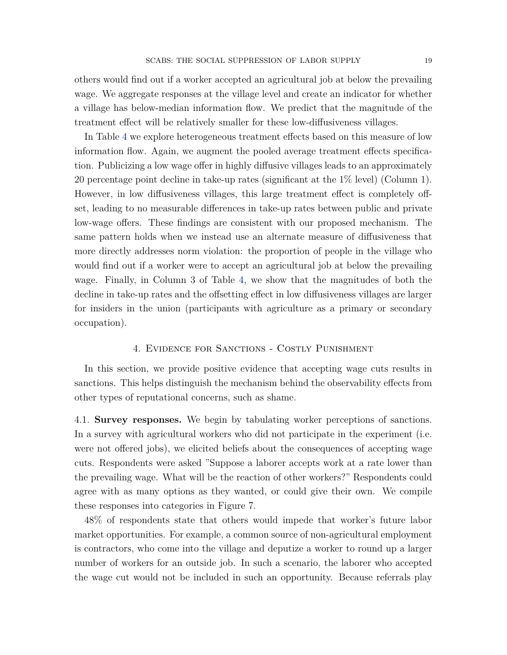others would find out if a worker accepted an agricultural job at below the prevailing wage. We aggregate responses at the village level and create an indicator for whether a village has below-median information flow. We predict that the magnitude of the treatment effect will be relatively smaller for these low-diffusiveness villages.

In Table [4](#page-36-0) we explore heterogeneous treatment effects based on this measure of low information flow. Again, we augment the pooled average treatment effects specification. Publicizing a low wage offer in highly diffusive villages leads to an approximately 20 percentage point decline in take-up rates (significant at the 1% level) (Column 1). However, in low diffusiveness villages, this large treatment effect is completely offset, leading to no measurable differences in take-up rates between public and private low-wage offers. These findings are consistent with our proposed mechanism. The same pattern holds when we instead use an alternate measure of diffusiveness that more directly addresses norm violation: the proportion of people in the village who would find out if a worker were to accept an agricultural job at below the prevailing wage. Finally, in Column 3 of Table [4,](#page-36-0) we show that the magnitudes of both the decline in take-up rates and the offsetting effect in low diffusiveness villages are larger for insiders in the union (participants with agriculture as a primary or secondary occupation).

#### 4. Evidence for Sanctions - Costly Punishment

<span id="page-18-0"></span>In this section, we provide positive evidence that accepting wage cuts results in sanctions. This helps distinguish the mechanism behind the observability effects from other types of reputational concerns, such as shame.

4.1. **Survey responses.** We begin by tabulating worker perceptions of sanctions. In a survey with agricultural workers who did not participate in the experiment (i.e. were not offered jobs), we elicited beliefs about the consequences of accepting wage cuts. Respondents were asked "Suppose a laborer accepts work at a rate lower than the prevailing wage. What will be the reaction of other workers?" Respondents could agree with as many options as they wanted, or could give their own. We compile these responses into categories in Figure 7.

48% of respondents state that others would impede that worker's future labor market opportunities. For example, a common source of non-agricultural employment is contractors, who come into the village and deputize a worker to round up a larger number of workers for an outside job. In such a scenario, the laborer who accepted the wage cut would not be included in such an opportunity. Because referrals play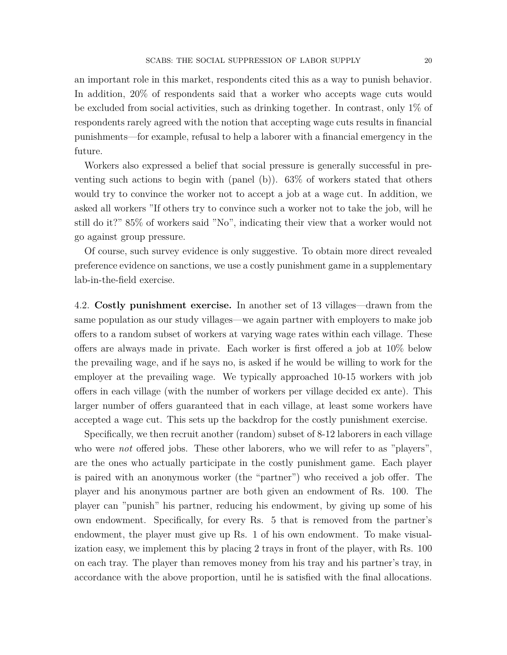an important role in this market, respondents cited this as a way to punish behavior. In addition, 20% of respondents said that a worker who accepts wage cuts would be excluded from social activities, such as drinking together. In contrast, only 1% of respondents rarely agreed with the notion that accepting wage cuts results in financial punishments—for example, refusal to help a laborer with a financial emergency in the future.

Workers also expressed a belief that social pressure is generally successful in preventing such actions to begin with (panel (b)). 63% of workers stated that others would try to convince the worker not to accept a job at a wage cut. In addition, we asked all workers "If others try to convince such a worker not to take the job, will he still do it?" 85% of workers said "No", indicating their view that a worker would not go against group pressure.

Of course, such survey evidence is only suggestive. To obtain more direct revealed preference evidence on sanctions, we use a costly punishment game in a supplementary lab-in-the-field exercise.

<span id="page-19-0"></span>4.2. **Costly punishment exercise.** In another set of 13 villages—drawn from the same population as our study villages—we again partner with employers to make job offers to a random subset of workers at varying wage rates within each village. These offers are always made in private. Each worker is first offered a job at 10% below the prevailing wage, and if he says no, is asked if he would be willing to work for the employer at the prevailing wage. We typically approached 10-15 workers with job offers in each village (with the number of workers per village decided ex ante). This larger number of offers guaranteed that in each village, at least some workers have accepted a wage cut. This sets up the backdrop for the costly punishment exercise.

Specifically, we then recruit another (random) subset of 8-12 laborers in each village who were *not* offered jobs. These other laborers, who we will refer to as "players", are the ones who actually participate in the costly punishment game. Each player is paired with an anonymous worker (the "partner") who received a job offer. The player and his anonymous partner are both given an endowment of Rs. 100. The player can "punish" his partner, reducing his endowment, by giving up some of his own endowment. Specifically, for every Rs. 5 that is removed from the partner's endowment, the player must give up Rs. 1 of his own endowment. To make visualization easy, we implement this by placing 2 trays in front of the player, with Rs. 100 on each tray. The player than removes money from his tray and his partner's tray, in accordance with the above proportion, until he is satisfied with the final allocations.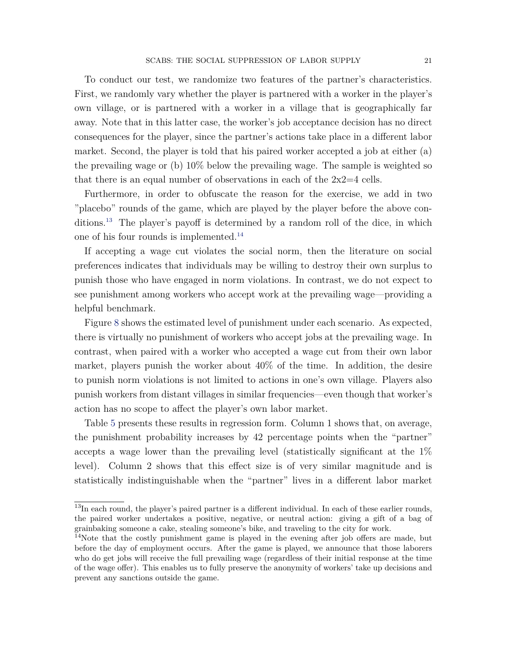To conduct our test, we randomize two features of the partner's characteristics. First, we randomly vary whether the player is partnered with a worker in the player's own village, or is partnered with a worker in a village that is geographically far away. Note that in this latter case, the worker's job acceptance decision has no direct consequences for the player, since the partner's actions take place in a different labor market. Second, the player is told that his paired worker accepted a job at either (a) the prevailing wage or (b) 10% below the prevailing wage. The sample is weighted so that there is an equal number of observations in each of the  $2x^2=4$  cells.

Furthermore, in order to obfuscate the reason for the exercise, we add in two "placebo" rounds of the game, which are played by the player before the above con-ditions.<sup>[13](#page-20-0)</sup> The player's payoff is determined by a random roll of the dice, in which one of his four rounds is implemented.[14](#page-20-1)

If accepting a wage cut violates the social norm, then the literature on social preferences indicates that individuals may be willing to destroy their own surplus to punish those who have engaged in norm violations. In contrast, we do not expect to see punishment among workers who accept work at the prevailing wage—providing a helpful benchmark.

Figure [8](#page-32-0) shows the estimated level of punishment under each scenario. As expected, there is virtually no punishment of workers who accept jobs at the prevailing wage. In contrast, when paired with a worker who accepted a wage cut from their own labor market, players punish the worker about 40% of the time. In addition, the desire to punish norm violations is not limited to actions in one's own village. Players also punish workers from distant villages in similar frequencies—even though that worker's action has no scope to affect the player's own labor market.

Table [5](#page-37-0) presents these results in regression form. Column 1 shows that, on average, the punishment probability increases by 42 percentage points when the "partner" accepts a wage lower than the prevailing level (statistically significant at the 1% level). Column 2 shows that this effect size is of very similar magnitude and is statistically indistinguishable when the "partner" lives in a different labor market

<span id="page-20-0"></span> $13$ In each round, the player's paired partner is a different individual. In each of these earlier rounds, the paired worker undertakes a positive, negative, or neutral action: giving a gift of a bag of grainbaking someone a cake, stealing someone's bike, and traveling to the city for work.

<span id="page-20-1"></span><sup>&</sup>lt;sup>14</sup>Note that the costly punishment game is played in the evening after job offers are made, but before the day of employment occurs. After the game is played, we announce that those laborers who do get jobs will receive the full prevailing wage (regardless of their initial response at the time of the wage offer). This enables us to fully preserve the anonymity of workers' take up decisions and prevent any sanctions outside the game.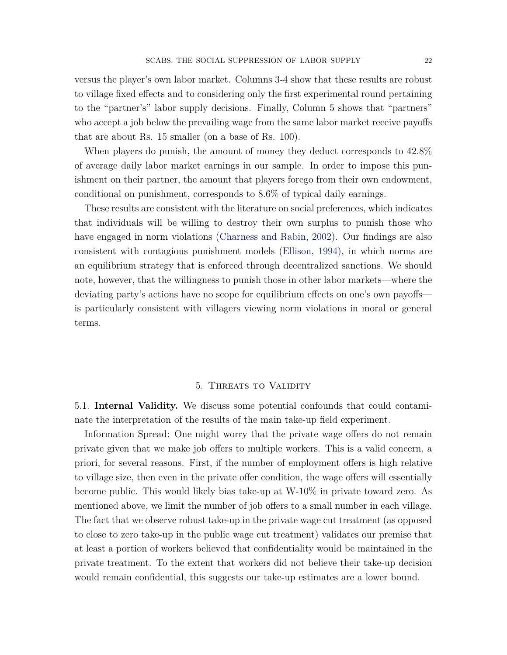versus the player's own labor market. Columns 3-4 show that these results are robust to village fixed effects and to considering only the first experimental round pertaining to the "partner's" labor supply decisions. Finally, Column 5 shows that "partners" who accept a job below the prevailing wage from the same labor market receive payoffs that are about Rs. 15 smaller (on a base of Rs. 100).

When players do punish, the amount of money they deduct corresponds to 42.8% of average daily labor market earnings in our sample. In order to impose this punishment on their partner, the amount that players forego from their own endowment, conditional on punishment, corresponds to 8.6% of typical daily earnings.

These results are consistent with the literature on social preferences, which indicates that individuals will be willing to destroy their own surplus to punish those who have engaged in norm violations [\(Charness and Rabin,](#page-24-4) [2002\)](#page-24-4). Our findings are also consistent with contagious punishment models [\(Ellison,](#page-25-3) [1994\)](#page-25-3), in which norms are an equilibrium strategy that is enforced through decentralized sanctions. We should note, however, that the willingness to punish those in other labor markets—where the deviating party's actions have no scope for equilibrium effects on one's own payoffs is particularly consistent with villagers viewing norm violations in moral or general terms.

#### 5. THREATS TO VALIDITY

<span id="page-21-0"></span>5.1. **Internal Validity.** We discuss some potential confounds that could contaminate the interpretation of the results of the main take-up field experiment.

Information Spread: One might worry that the private wage offers do not remain private given that we make job offers to multiple workers. This is a valid concern, a priori, for several reasons. First, if the number of employment offers is high relative to village size, then even in the private offer condition, the wage offers will essentially become public. This would likely bias take-up at W-10% in private toward zero. As mentioned above, we limit the number of job offers to a small number in each village. The fact that we observe robust take-up in the private wage cut treatment (as opposed to close to zero take-up in the public wage cut treatment) validates our premise that at least a portion of workers believed that confidentiality would be maintained in the private treatment. To the extent that workers did not believe their take-up decision would remain confidential, this suggests our take-up estimates are a lower bound.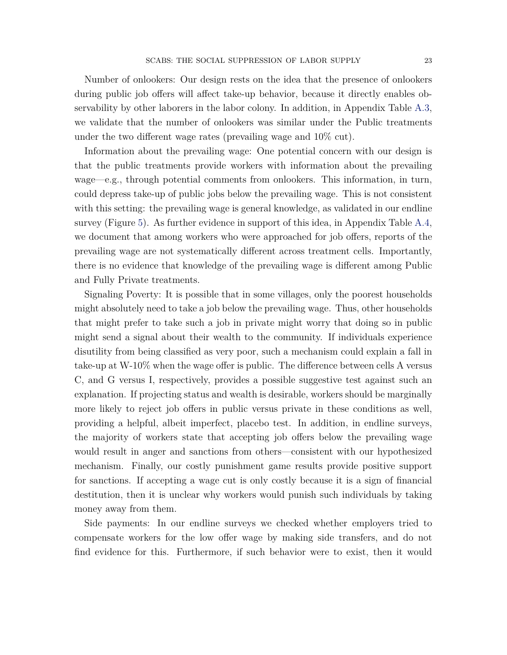Number of onlookers: Our design rests on the idea that the presence of onlookers during public job offers will affect take-up behavior, because it directly enables observability by other laborers in the labor colony. In addition, in Appendix Table [A.3,](#page-40-0) we validate that the number of onlookers was similar under the Public treatments under the two different wage rates (prevailing wage and 10% cut).

Information about the prevailing wage: One potential concern with our design is that the public treatments provide workers with information about the prevailing wage—e.g., through potential comments from onlookers. This information, in turn, could depress take-up of public jobs below the prevailing wage. This is not consistent with this setting: the prevailing wage is general knowledge, as validated in our endline survey (Figure [5\)](#page-29-1). As further evidence in support of this idea, in Appendix Table [A.4,](#page-41-0) we document that among workers who were approached for job offers, reports of the prevailing wage are not systematically different across treatment cells. Importantly, there is no evidence that knowledge of the prevailing wage is different among Public and Fully Private treatments.

Signaling Poverty: It is possible that in some villages, only the poorest households might absolutely need to take a job below the prevailing wage. Thus, other households that might prefer to take such a job in private might worry that doing so in public might send a signal about their wealth to the community. If individuals experience disutility from being classified as very poor, such a mechanism could explain a fall in take-up at W-10% when the wage offer is public. The difference between cells A versus C, and G versus I, respectively, provides a possible suggestive test against such an explanation. If projecting status and wealth is desirable, workers should be marginally more likely to reject job offers in public versus private in these conditions as well, providing a helpful, albeit imperfect, placebo test. In addition, in endline surveys, the majority of workers state that accepting job offers below the prevailing wage would result in anger and sanctions from others—consistent with our hypothesized mechanism. Finally, our costly punishment game results provide positive support for sanctions. If accepting a wage cut is only costly because it is a sign of financial destitution, then it is unclear why workers would punish such individuals by taking money away from them.

Side payments: In our endline surveys we checked whether employers tried to compensate workers for the low offer wage by making side transfers, and do not find evidence for this. Furthermore, if such behavior were to exist, then it would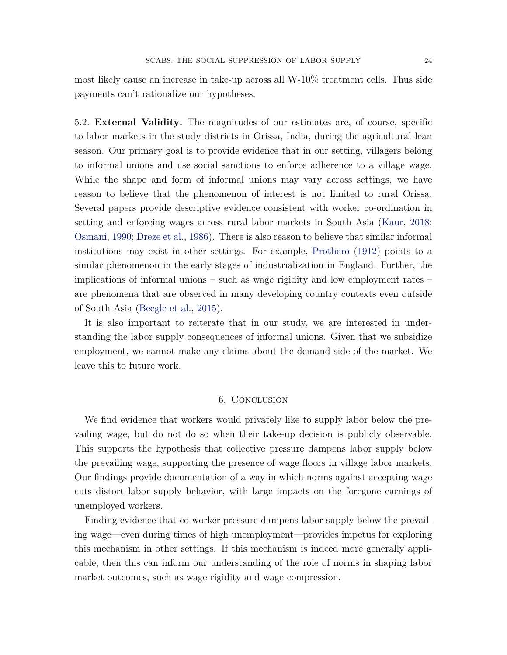most likely cause an increase in take-up across all W-10% treatment cells. Thus side payments can't rationalize our hypotheses.

<span id="page-23-1"></span>5.2. **External Validity.** The magnitudes of our estimates are, of course, specific to labor markets in the study districts in Orissa, India, during the agricultural lean season. Our primary goal is to provide evidence that in our setting, villagers belong to informal unions and use social sanctions to enforce adherence to a village wage. While the shape and form of informal unions may vary across settings, we have reason to believe that the phenomenon of interest is not limited to rural Orissa. Several papers provide descriptive evidence consistent with worker co-ordination in setting and enforcing wages across rural labor markets in South Asia [\(Kaur,](#page-25-13) [2018;](#page-25-13) [Osmani,](#page-26-4) [1990;](#page-26-4) [Dreze et al.,](#page-24-11) [1986\)](#page-24-11). There is also reason to believe that similar informal institutions may exist in other settings. For example, [Prothero](#page-26-5) [\(1912\)](#page-26-5) points to a similar phenomenon in the early stages of industrialization in England. Further, the implications of informal unions – such as wage rigidity and low employment rates – are phenomena that are observed in many developing country contexts even outside of South Asia [\(Beegle et al.,](#page-24-12) [2015\)](#page-24-12).

It is also important to reiterate that in our study, we are interested in understanding the labor supply consequences of informal unions. Given that we subsidize employment, we cannot make any claims about the demand side of the market. We leave this to future work.

### 6. Conclusion

<span id="page-23-0"></span>We find evidence that workers would privately like to supply labor below the prevailing wage, but do not do so when their take-up decision is publicly observable. This supports the hypothesis that collective pressure dampens labor supply below the prevailing wage, supporting the presence of wage floors in village labor markets. Our findings provide documentation of a way in which norms against accepting wage cuts distort labor supply behavior, with large impacts on the foregone earnings of unemployed workers.

Finding evidence that co-worker pressure dampens labor supply below the prevailing wage—even during times of high unemployment—provides impetus for exploring this mechanism in other settings. If this mechanism is indeed more generally applicable, then this can inform our understanding of the role of norms in shaping labor market outcomes, such as wage rigidity and wage compression.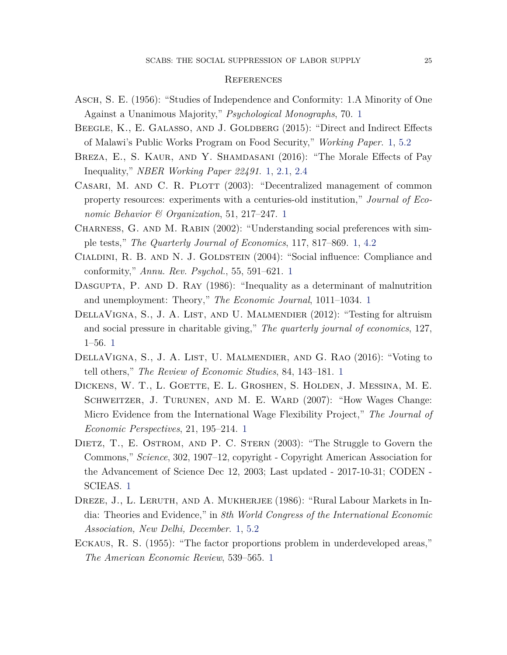#### **REFERENCES**

- <span id="page-24-0"></span>Asch, S. E. (1956): "Studies of Independence and Conformity: 1.A Minority of One Against a Unanimous Majority," *Psychological Monographs*, 70. [1](#page-1-0)
- <span id="page-24-12"></span>BEEGLE, K., E. GALASSO, AND J. GOLDBERG (2015): "Direct and Indirect Effects of Malawi's Public Works Program on Food Security," *Working Paper*. [1,](#page-1-0) [5.2](#page-23-1)
- <span id="page-24-10"></span>Breza, E., S. Kaur, and Y. Shamdasani (2016): "The Morale Effects of Pay Inequality," *NBER Working Paper 22491*. [1,](#page-1-0) [2.1,](#page-6-1) [2.4](#page-10-1)
- <span id="page-24-2"></span>CASARI, M. AND C. R. PLOTT (2003): "Decentralized management of common property resources: experiments with a centuries-old institution," *Journal of Economic Behavior & Organization*, 51, 217–247. [1](#page-1-0)
- <span id="page-24-4"></span>Charness, G. and M. Rabin (2002): "Understanding social preferences with simple tests," *The Quarterly Journal of Economics*, 117, 817–869. [1,](#page-1-0) [4.2](#page-19-0)
- <span id="page-24-1"></span>CIALDINI, R. B. AND N. J. GOLDSTEIN (2004): "Social influence: Compliance and conformity," *Annu. Rev. Psychol.*, 55, 591–621. [1](#page-1-0)
- <span id="page-24-8"></span>DASGUPTA, P. AND D. RAY (1986): "Inequality as a determinant of malnutrition and unemployment: Theory," *The Economic Journal*, 1011–1034. [1](#page-1-0)
- <span id="page-24-5"></span>DELLAVIGNA, S., J. A. LIST, AND U. MALMENDIER (2012): "Testing for altruism and social pressure in charitable giving," *The quarterly journal of economics*, 127, 1–56. [1](#page-1-0)
- <span id="page-24-6"></span>DELLAVIGNA, S., J. A. LIST, U. MALMENDIER, AND G. RAO (2016): "Voting to tell others," *The Review of Economic Studies*, 84, 143–181. [1](#page-1-0)
- <span id="page-24-9"></span>Dickens, W. T., L. Goette, E. L. Groshen, S. Holden, J. Messina, M. E. SCHWEITZER, J. TURUNEN, AND M. E. WARD (2007): "How Wages Change: Micro Evidence from the International Wage Flexibility Project," *The Journal of Economic Perspectives*, 21, 195–214. [1](#page-1-0)
- <span id="page-24-3"></span>DIETZ, T., E. OSTROM, AND P. C. STERN (2003): "The Struggle to Govern the Commons," *Science*, 302, 1907–12, copyright - Copyright American Association for the Advancement of Science Dec 12, 2003; Last updated - 2017-10-31; CODEN - SCIEAS. [1](#page-1-0)
- <span id="page-24-11"></span>DREZE, J., L. LERUTH, AND A. MUKHERJEE (1986): "Rural Labour Markets in India: Theories and Evidence," in *8th World Congress of the International Economic Association, New Delhi, December*. [1,](#page-1-0) [5.2](#page-23-1)
- <span id="page-24-7"></span>Eckaus, R. S. (1955): "The factor proportions problem in underdeveloped areas," *The American Economic Review*, 539–565. [1](#page-1-0)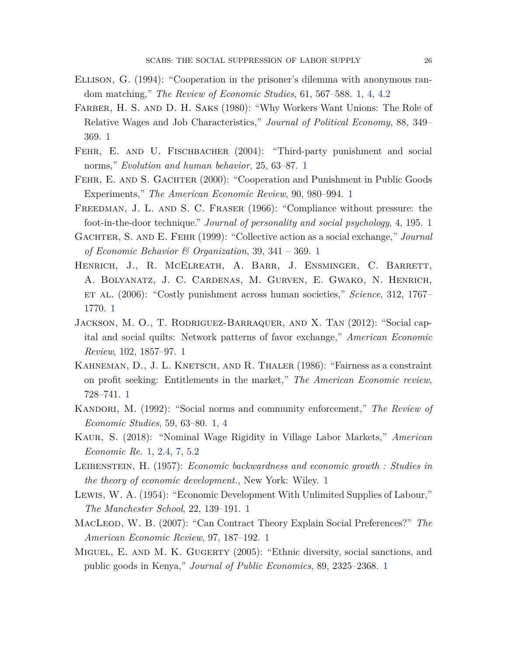- <span id="page-25-3"></span>Ellison, G. (1994): "Cooperation in the prisoner's dilemma with anonymous random matching," *The Review of Economic Studies*, 61, 567–588. [1,](#page-1-0) [4,](#page-7-0) [4.2](#page-19-0)
- <span id="page-25-14"></span>FARBER, H. S. AND D. H. SAKS (1980): "Why Workers Want Unions: The Role of Relative Wages and Job Characteristics," *Journal of Political Economy*, 88, 349– 369. [1](#page-1-0)
- <span id="page-25-8"></span>FEHR, E. AND U. FISCHBACHER (2004): "Third-party punishment and social norms," *Evolution and human behavior*, 25, 63–87. [1](#page-1-0)
- <span id="page-25-7"></span>FEHR, E. AND S. GACHTER (2000): "Cooperation and Punishment in Public Goods Experiments," *The American Economic Review*, 90, 980–994. [1](#page-1-0)
- <span id="page-25-0"></span>Freedman, J. L. and S. C. Fraser (1966): "Compliance without pressure: the foot-in-the-door technique." *Journal of personality and social psychology*, 4, 195. [1](#page-1-0)
- <span id="page-25-6"></span>Gachter, S. and E. Fehr (1999): "Collective action as a social exchange," *Journal of Economic Behavior & Organization*, 39, 341 – 369. [1](#page-1-0)
- <span id="page-25-1"></span>Henrich, J., R. McElreath, A. Barr, J. Ensminger, C. Barrett, A. Bolyanatz, J. C. Cardenas, M. Gurven, E. Gwako, N. Henrich, et al. (2006): "Costly punishment across human societies," *Science*, 312, 1767– 1770. [1](#page-1-0)
- <span id="page-25-4"></span>Jackson, M. O., T. Rodriguez-Barraquer, and X. Tan (2012): "Social capital and social quilts: Network patterns of favor exchange," *American Economic Review*, 102, 1857–97. [1](#page-1-0)
- <span id="page-25-10"></span>KAHNEMAN, D., J. L. KNETSCH, AND R. THALER (1986): "Fairness as a constraint on profit seeking: Entitlements in the market," *The American Economic review*, 728–741. [1](#page-1-0)
- <span id="page-25-2"></span>Kandori, M. (1992): "Social norms and community enforcement," *The Review of Economic Studies*, 59, 63–80. [1,](#page-1-0) [4](#page-7-0)
- <span id="page-25-13"></span>Kaur, S. (2018): "Nominal Wage Rigidity in Village Labor Markets," *American Economic Re*. [1,](#page-1-0) [2.4,](#page-10-1) [7,](#page-10-0) [5.2](#page-23-1)
- <span id="page-25-12"></span>Leibenstein, H. (1957): *Economic backwardness and economic growth : Studies in the theory of economic development.*, New York: Wiley. [1](#page-1-0)
- <span id="page-25-11"></span>Lewis, W. A. (1954): "Economic Development With Unlimited Supplies of Labour," *The Manchester School*, 22, 139–191. [1](#page-1-0)
- <span id="page-25-5"></span>MacLeod, W. B. (2007): "Can Contract Theory Explain Social Preferences?" *The American Economic Review*, 97, 187–192. [1](#page-1-0)
- <span id="page-25-9"></span>Miguel, E. and M. K. Gugerty (2005): "Ethnic diversity, social sanctions, and public goods in Kenya," *Journal of Public Economics*, 89, 2325–2368. [1](#page-1-0)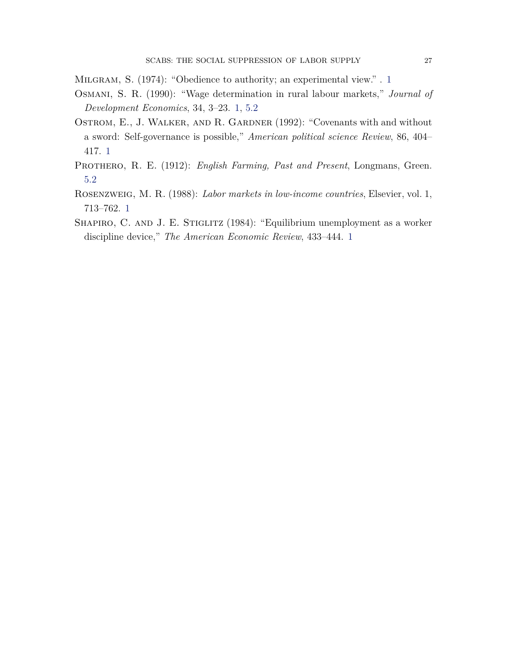<span id="page-26-0"></span>Milgram, S. (1974): "Obedience to authority; an experimental view." . [1](#page-1-0)

- <span id="page-26-4"></span>Osmani, S. R. (1990): "Wage determination in rural labour markets," *Journal of Development Economics*, 34, 3–23. [1,](#page-1-0) [5.2](#page-23-1)
- <span id="page-26-1"></span>OSTROM, E., J. WALKER, AND R. GARDNER (1992): "Covenants with and without a sword: Self-governance is possible," *American political science Review*, 86, 404– 417. [1](#page-1-0)
- <span id="page-26-5"></span>PROTHERO, R. E. (1912): *English Farming, Past and Present*, Longmans, Green. [5.2](#page-23-1)
- <span id="page-26-3"></span>Rosenzweig, M. R. (1988): *Labor markets in low-income countries*, Elsevier, vol. 1, 713–762. [1](#page-1-0)
- <span id="page-26-2"></span>SHAPIRO, C. AND J. E. STIGLITZ (1984): "Equilibrium unemployment as a worker discipline device," *The American Economic Review*, 433–444. [1](#page-1-0)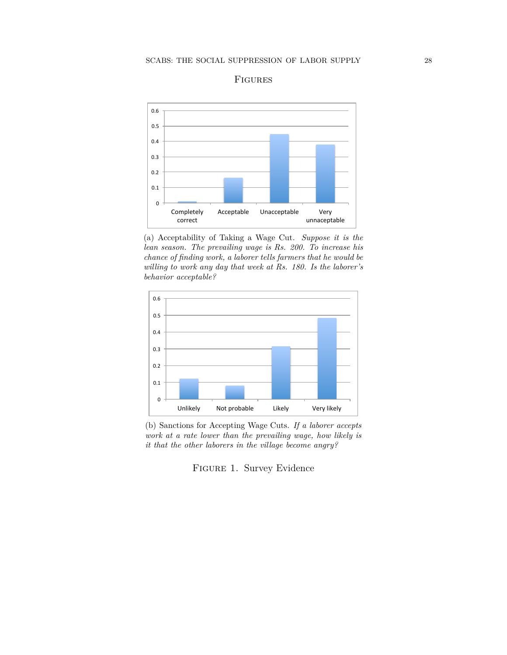<span id="page-27-0"></span>

### Figures

(a) Acceptability of Taking a Wage Cut. *Suppose it is the lean season. The prevailing wage is Rs. 200. To increase his chance of finding work, a laborer tells farmers that he would be willing to work any day that week at Rs. 180. Is the laborer's behavior acceptable?*



(b) Sanctions for Accepting Wage Cuts. *If a laborer accepts work at a rate lower than the prevailing wage, how likely is it that the other laborers in the village become angry?*

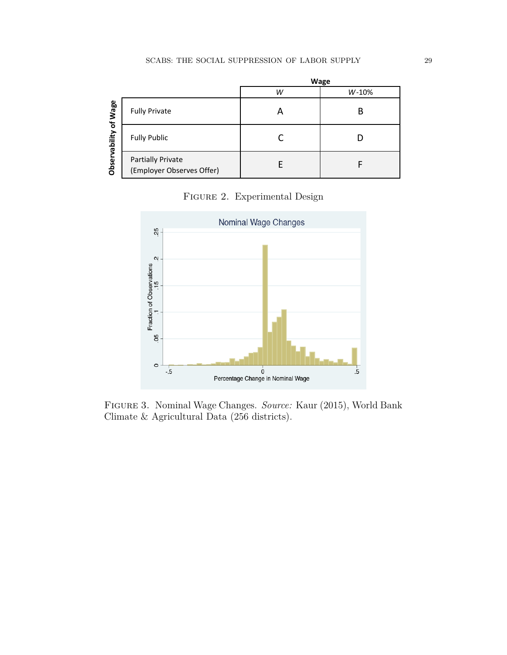<span id="page-28-0"></span>

|                                       |                                                       |   | Wage  |
|---------------------------------------|-------------------------------------------------------|---|-------|
|                                       |                                                       | W | W-10% |
| Wage<br>$\mathbf{r}$<br>Observability | <b>Fully Private</b>                                  |   | В     |
|                                       | <b>Fully Public</b>                                   |   |       |
|                                       | <b>Partially Private</b><br>(Employer Observes Offer) |   |       |

Figure 2. Experimental Design

<span id="page-28-1"></span>

Figure 3. Nominal Wage Changes. *Source:* Kaur (2015), World Bank Climate & Agricultural Data (256 districts).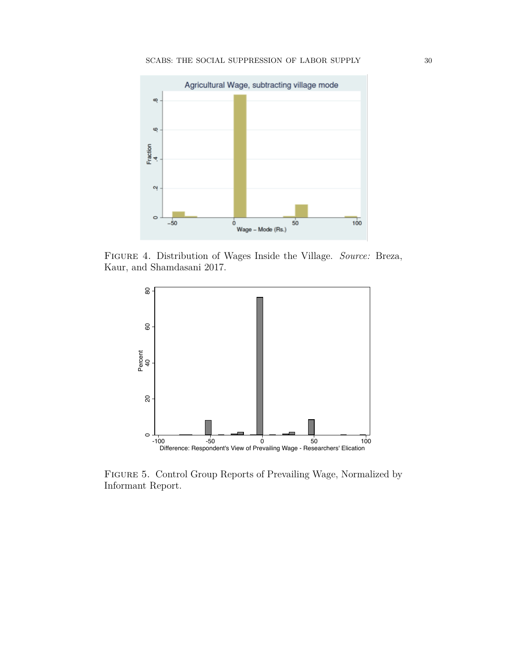<span id="page-29-0"></span>

<span id="page-29-1"></span>Figure 4. Distribution of Wages Inside the Village. *Source:* Breza, Kaur, and Shamdasani 2017.



Figure 5. Control Group Reports of Prevailing Wage, Normalized by Informant Report.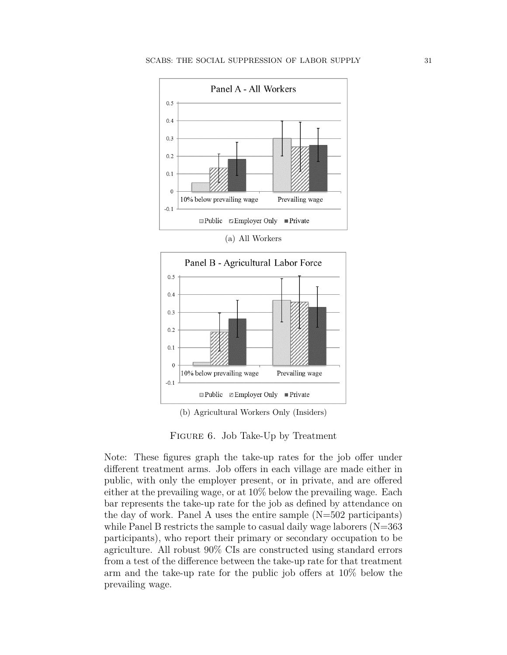<span id="page-30-0"></span>

(a) All Workers



(b) Agricultural Workers Only (Insiders)

Note: These figures graph the take-up rates for the job offer under different treatment arms. Job offers in each village are made either in public, with only the employer present, or in private, and are offered either at the prevailing wage, or at 10% below the prevailing wage. Each bar represents the take-up rate for the job as defined by attendance on the day of work. Panel A uses the entire sample  $(N=502$  participants) while Panel B restricts the sample to casual daily wage laborers  $(N=363)$ participants), who report their primary or secondary occupation to be agriculture. All robust 90% CIs are constructed using standard errors from a test of the difference between the take-up rate for that treatment arm and the take-up rate for the public job offers at 10% below the prevailing wage.

Figure 6. Job Take-Up by Treatment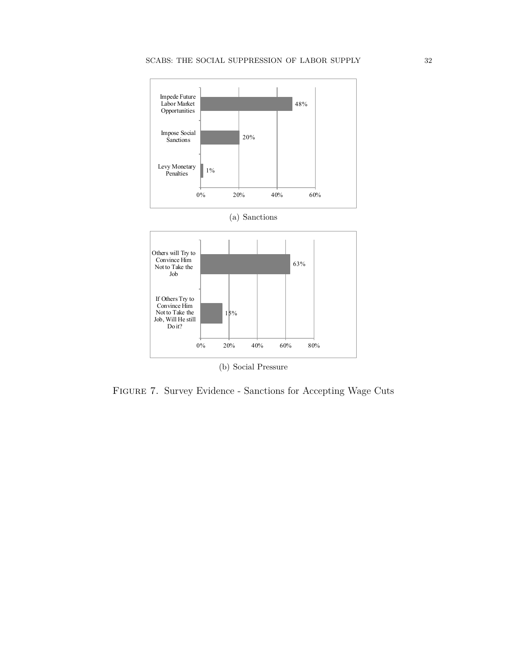

Figure 7. Survey Evidence - Sanctions for Accepting Wage Cuts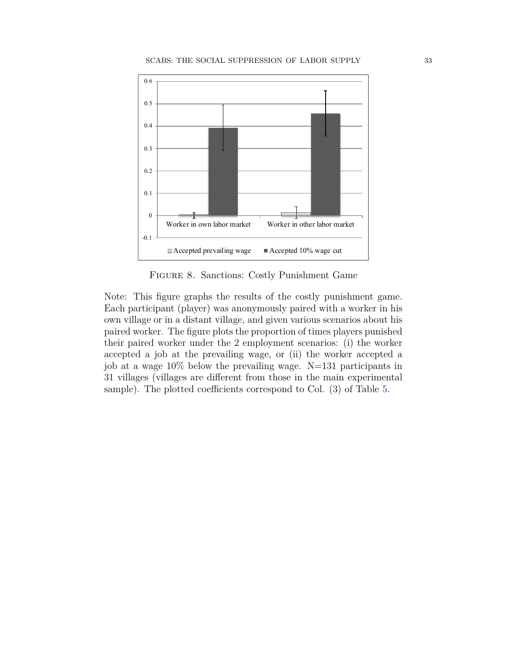<span id="page-32-0"></span>

Figure 8. Sanctions: Costly Punishment Game

Note: This figure graphs the results of the costly punishment game. Each participant (player) was anonymously paired with a worker in his own village or in a distant village, and given various scenarios about his paired worker. The figure plots the proportion of times players punished their paired worker under the 2 employment scenarios: (i) the worker accepted a job at the prevailing wage, or (ii) the worker accepted a job at a wage 10% below the prevailing wage. N=131 participants in 31 villages (villages are different from those in the main experimental sample). The plotted coefficients correspond to Col. (3) of Table [5.](#page-37-0)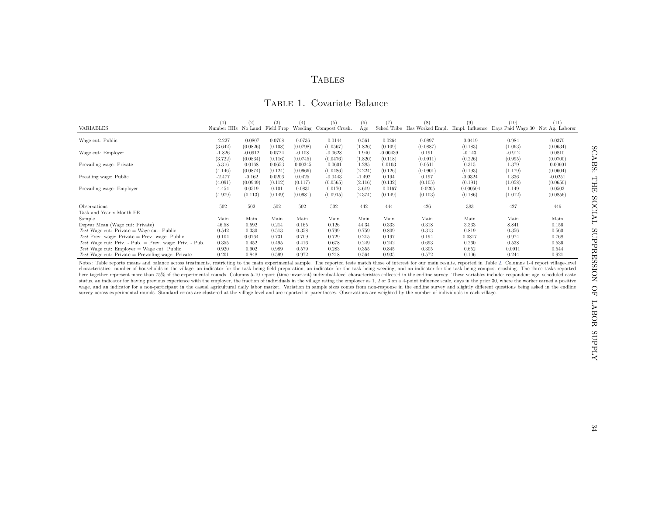## <span id="page-33-0"></span>**TABLES**

### Table 1. Covariate Balance

|                                                                                                                                                                                                                               | $\left(1\right)$ | (2)       | (3)     | (4)        | (5)                                                  | (6)      | (7)        | (8)                          | (9)         | (10)                                              | (11)       |
|-------------------------------------------------------------------------------------------------------------------------------------------------------------------------------------------------------------------------------|------------------|-----------|---------|------------|------------------------------------------------------|----------|------------|------------------------------|-------------|---------------------------------------------------|------------|
| VARIABLES                                                                                                                                                                                                                     |                  |           |         |            | Number HHs No Land Field Prep Weeding Compost Crush. | Age      |            | Sched Tribe Has Worked Empl. |             | Empl. Influence Days Paid Wage 30 Not Ag. Laborer |            |
|                                                                                                                                                                                                                               |                  |           |         |            |                                                      |          |            |                              |             |                                                   |            |
| Wage cut: Public                                                                                                                                                                                                              | $-2.227$         | $-0.0807$ | 0.0708  | $-0.0736$  | $-0.0144$                                            | 0.561    | $-0.0264$  | 0.0897                       | $-0.0419$   | 0.984                                             | 0.0370     |
|                                                                                                                                                                                                                               | (3.642)          | (0.0826)  | (0.108) | (0.0798)   | (0.0567)                                             | (1.826)  | (0.109)    | (0.0887)                     | (0.183)     | (1.063)                                           | (0.0634)   |
| Wage cut: Employer                                                                                                                                                                                                            | $-1.826$         | $-0.0912$ | 0.0724  | $-0.108$   | $-0.0628$                                            | 1.940    | $-0.00439$ | 0.191                        | $-0.143$    | $-0.912$                                          | 0.0810     |
|                                                                                                                                                                                                                               | (3.722)          | (0.0834)  | (0.116) | (0.0745)   | (0.0476)                                             | (1.820)  | (0.118)    | (0.0911)                     | (0.226)     | (0.995)                                           | (0.0700)   |
| Prevailing wage: Private                                                                                                                                                                                                      | 5.316            | 0.0168    | 0.0653  | $-0.00345$ | $-0.0601$                                            | 1.285    | 0.0103     | 0.0511                       | 0.315       | 1.379                                             | $-0.00601$ |
|                                                                                                                                                                                                                               | (4.146)          | (0.0874)  | (0.124) | (0.0966)   | (0.0486)                                             | (2.224)  | (0.126)    | (0.0901)                     | (0.193)     | (1.179)                                           | (0.0604)   |
| Preailing wage: Public                                                                                                                                                                                                        | $-2.477$         | $-0.162$  | 0.0206  | 0.0425     | $-0.0443$                                            | $-1.492$ | 0.194      | 0.197                        | $-0.0324$   | 1.336                                             | $-0.0251$  |
|                                                                                                                                                                                                                               | (4.091)          | (0.0949)  | (0.112) | (0.117)    | (0.0565)                                             | (2.116)  | (0.132)    | (0.105)                      | (0.191)     | (1.058)                                           | (0.0650)   |
| Prevailing wage: Employer                                                                                                                                                                                                     | 4.454            | 0.0519    | 0.101   | $-0.0831$  | 0.0170                                               | 3.619    | $-0.0167$  | $-0.0205$                    | $-0.000504$ | 1.149                                             | 0.0503     |
|                                                                                                                                                                                                                               | (4.979)          | (0.113)   | (0.149) | (0.0981)   | (0.0915)                                             | (2.374)  | (0.149)    | (0.103)                      | (0.186)     | (1.012)                                           | (0.0856)   |
| Observations                                                                                                                                                                                                                  | 502              | 502       | 502     | 502        | 502                                                  | 442      | 444        | 426                          | 383         | 427                                               | 446        |
| Task and Year x Month FE                                                                                                                                                                                                      |                  |           |         |            |                                                      |          |            |                              |             |                                                   |            |
| Sample                                                                                                                                                                                                                        | Main             | Main      | Main    | Main       | Main                                                 | Main     | Main       | Main                         | Main        | Main                                              | Main       |
| Depvar Mean (Wage cut: Private)                                                                                                                                                                                               | 46.58            | 0.592     | 0.214   | 0.165      | 0.126                                                | 44.34    | 0.333      | 0.318                        | 3.333       | 8.841                                             | 0.156      |
| $Test$ Wage cut: Private = Wage cut: Public                                                                                                                                                                                   | 0.542            | 0.330     | 0.513   | 0.358      | 0.799                                                | 0.759    | 0.809      | 0.313                        | 0.819       | 0.356                                             | 0.560      |
| Test Prev. wage: Private = Prev. wage: Public                                                                                                                                                                                 | 0.104            | 0.0764    | 0.731   | 0.709      | 0.729                                                | 0.215    | 0.197      | 0.194                        | 0.0817      | 0.974                                             | 0.768      |
| Test Wage cut: Priv. - Pub. $=$ Prev. wage: Priv. - Pub.                                                                                                                                                                      | 0.355            | 0.452     | 0.495   | 0.416      | 0.678                                                | 0.249    | 0.242      | 0.693                        | 0.260       | 0.538                                             | 0.536      |
| $Test$ Wage cut: Employer = Wage cut: Public                                                                                                                                                                                  | 0.920            | 0.902     | 0.989   | 0.579      | 0.283                                                | 0.355    | 0.845      | 0.305                        | 0.652       | 0.0911                                            | 0.544      |
| $Test$ Wage cut: Private = Prevailing wage: Private                                                                                                                                                                           | 0.201            | 0.848     | 0.599   | 0.972      | 0.218                                                | 0.564    | 0.935      | 0.572                        | 0.106       | 0.244                                             | 0.921      |
| Notes: Table reports means and balance across treatments, restricting to the main experimental sample. The reported tests match those of interest for our main results, reported in Table 2. Columns 1-4 report village-level |                  |           |         |            |                                                      |          |            |                              |             |                                                   |            |

Notes: Table reports means and balance across treatments, restricting to the main experimental sample. The reported tests match those of interest for our main results, reportd in Table [2.](#page-34-1) Columns 1-4 report village-level c status, an indicator for having previous experience with the employer, the fraction of individuals in the village rating the employer as 1, 2 or 3 on a 4-point influence scale, days in the prior 30, where the worker earned wage, and an indicator for a non-participant in the casual agricultural daily labor market. Variation in sample sizes comes from non-response in the endline survey and slightly different questions being asked in the endlin survey across experimental rounds. Standard errors are clustered at the village level and are reported in parentheses. Observations are weighted by the number of individuals in each village.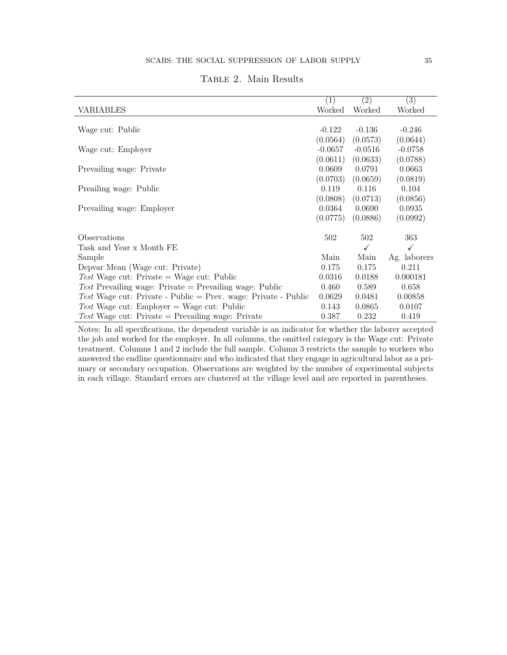<span id="page-34-0"></span>

|                                                                | $\left( 1\right)$ | $\left( 2\right)$ | $\left( 3\right)$ |
|----------------------------------------------------------------|-------------------|-------------------|-------------------|
| VARIABLES                                                      | Worked            | Worked            | Worked            |
|                                                                |                   |                   |                   |
| Wage cut: Public                                               | $-0.122$          | $-0.136$          | $-0.246$          |
|                                                                | (0.0564)          | (0.0573)          | (0.0644)          |
| Wage cut: Employer                                             | $-0.0657$         | $-0.0516$         | $-0.0758$         |
|                                                                | (0.0611)          | (0.0633)          | (0.0788)          |
| Prevailing wage: Private                                       | 0.0609            | 0.0791            | 0.0663            |
|                                                                | (0.0703)          | (0.0659)          | (0.0819)          |
| Preailing wage: Public                                         | 0.119             | 0.116             | 0.104             |
|                                                                | (0.0808)          | (0.0713)          | (0.0856)          |
| Prevailing wage: Employer                                      | 0.0364            | 0.0690            | 0.0935            |
|                                                                | (0.0775)          | (0.0886)          | (0.0992)          |
|                                                                |                   |                   |                   |
| Observations                                                   | 502               | 502               | 363               |
| Task and Year x Month FE                                       |                   | ✓                 | ✓                 |
| Sample                                                         | Main              | Main              | Ag. laborers      |
| Depvar Mean (Wage cut: Private)                                | 0.175             | 0.175             | 0.211             |
| Test Wage cut: Private = Wage cut: Public                      | 0.0316            | 0.0188            | 0.000181          |
| Test Prevailing wage: Private $=$ Prevailing wage: Public      | 0.460             | 0.589             | 0.658             |
| Test Wage cut: Private - Public = Prev. wage: Private - Public | 0.0629            | 0.0481            | 0.00858           |
| Test Wage cut: Employer $=$ Wage cut: Public                   | 0.143             | 0.0865            | 0.0107            |
| Test Wage cut: Private $=$ Prevailing wage: Private            | 0.387             | 0.232             | 0.419             |

## <span id="page-34-1"></span>TABLE 2. Main Results

Notes: In all specifications, the dependent variable is an indicator for whether the laborer accepted the job and worked for the employer. In all columns, the omitted category is the Wage cut: Private treatment. Columns 1 and 2 include the full sample. Column 3 restricts the sample to workers who answered the endline questionnaire and who indicated that they engage in agricultural labor as a primary or secondary occupation. Observations are weighted by the number of experimental subjects in each village. Standard errors are clustered at the village level and are reported in parentheses.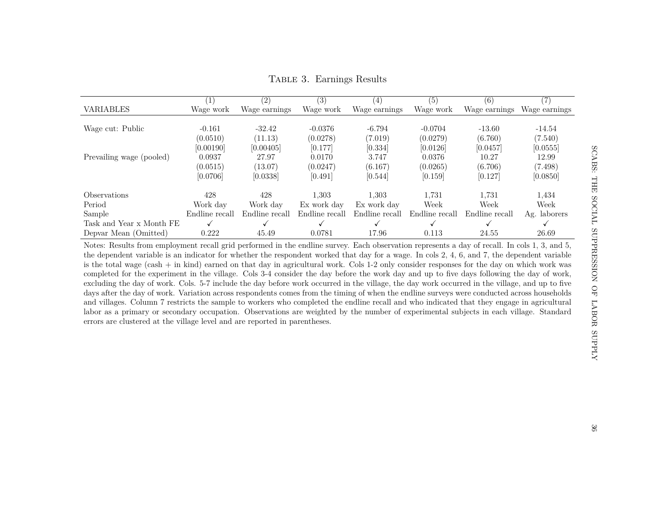|                            |                | (2)            | (3)            | 4              | (5)            | (6)            |               |
|----------------------------|----------------|----------------|----------------|----------------|----------------|----------------|---------------|
| VARIABLES                  | Wage work      | Wage earnings  | Wage work      | Wage earnings  | Wage work      | Wage earnings  | Wage earnings |
|                            |                |                |                |                |                |                |               |
| Wage cut: Public           | $-0.161$       | $-32.42$       | $-0.0376$      | $-6.794$       | $-0.0704$      | $-13.60$       | $-14.54$      |
|                            | (0.0510)       | (11.13)        | (0.0278)       | (7.019)        | (0.0279)       | (6.760)        | (7.540)       |
|                            | [0.00190]      | [0.00405]      | [0.177]        | [0.334]        | [0.0126]       | [0.0457]       | [0.0555]      |
| Prevailing wage (pooled)   | 0.0937         | 27.97          | 0.0170         | 3.747          | 0.0376         | 10.27          | 12.99         |
|                            | (0.0515)       | (13.07)        | (0.0247)       | (6.167)        | (0.0265)       | (6.706)        | (7.498)       |
|                            | [0.0706]       | [0.0338]       | [0.491]        | [0.544]        | [0.159]        | [0.127]        | [0.0850]      |
| <i><b>Observations</b></i> | 428            | 428            | 1.303          | 1,303          | 1,731          | 1,731          | 1.434         |
| Period                     | Work day       | Work day       | Ex work day    | Ex work day    | Week           | Week           | Week          |
| Sample                     | Endline recall | Endline recall | Endline recall | Endline recall | Endline recall | Endline recall | Ag. laborers  |
| Task and Year x Month FE   |                |                |                |                |                |                |               |
| Depvar Mean (Omitted)      | 0.222          | 45.49          | 0.0781         | 17.96          | 0.113          | 24.55          | 26.69         |

Table 3. Earnings Results

<span id="page-35-0"></span>Notes: Results from employment recall grid performed in the endline survey. Each observation represents <sup>a</sup> day of recall. In cols 1, 3, and 5, the dependent variable is an indicator for whether the respondent worked that day for <sup>a</sup> wage. In cols 2, 4, 6, and 7, the dependent variable is the total wage (cash <sup>+</sup> in kind) earned on that day in agricultural work. Cols 1-2 only consider responses for the day on which work was completed for the experiment in the village. Cols 3-4 consider the day before the work day and up to five days following the day of work, excluding the day of work. Cols. 5-7 include the day before work occurred in the village, the day work occurred in the village, and up to five days after the day of work. Variation across respondents comes from the timing of when the endline surveys were conducted across households and villages. Column 7 restricts the sample to workers who completed the endline recall and who indicated that they engage in agricultural labor as <sup>a</sup> primary or secondary occupation. Observations are weighted by the number of experimental subjects in each village. Standarderrors are clustered at the village level and are reported in parentheses.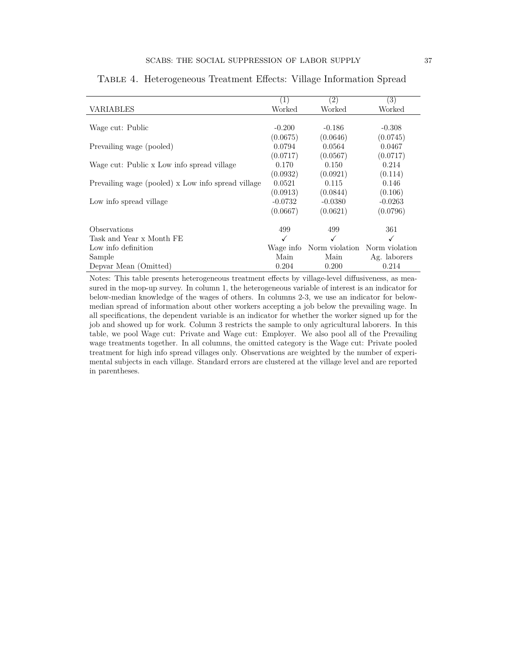|                                                    | $\left(1\right)$ | $\left( 2\right)$ | (3)            |
|----------------------------------------------------|------------------|-------------------|----------------|
| VARIABLES                                          | Worked           | Worked            | Worked         |
|                                                    |                  |                   |                |
| Wage cut: Public                                   | $-0.200$         | $-0.186$          | $-0.308$       |
|                                                    | (0.0675)         | (0.0646)          | (0.0745)       |
| Prevailing wage (pooled)                           | 0.0794           | 0.0564            | 0.0467         |
|                                                    | (0.0717)         | (0.0567)          | (0.0717)       |
| Wage cut: Public x Low info spread village         | 0.170            | 0.150             | 0.214          |
|                                                    | (0.0932)         | (0.0921)          | (0.114)        |
| Prevailing wage (pooled) x Low info spread village | 0.0521           | 0.115             | 0.146          |
|                                                    | (0.0913)         | (0.0844)          | (0.106)        |
| Low info spread village                            | $-0.0732$        | $-0.0380$         | $-0.0263$      |
|                                                    | (0.0667)         | (0.0621)          | (0.0796)       |
|                                                    |                  |                   |                |
| Observations                                       | 499              | 499               | 361            |
| Task and Year x Month FE                           |                  |                   |                |
| Low info definition                                | Wage info        | Norm violation    | Norm violation |
| Sample                                             | Main             | Main              | Ag. laborers   |
| Depvar Mean (Omitted)                              | 0.204            | 0.200             | 0.214          |

#### <span id="page-36-0"></span>Table 4. Heterogeneous Treatment Effects: Village Information Spread

Notes: This table presents heterogeneous treatment effects by village-level diffusiveness, as measured in the mop-up survey. In column 1, the heterogeneous variable of interest is an indicator for below-median knowledge of the wages of others. In columns 2-3, we use an indicator for belowmedian spread of information about other workers accepting a job below the prevailing wage. In all specifications, the dependent variable is an indicator for whether the worker signed up for the job and showed up for work. Column 3 restricts the sample to only agricultural laborers. In this table, we pool Wage cut: Private and Wage cut: Employer. We also pool all of the Prevailing wage treatments together. In all columns, the omitted category is the Wage cut: Private pooled treatment for high info spread villages only. Observations are weighted by the number of experimental subjects in each village. Standard errors are clustered at the village level and are reported in parentheses.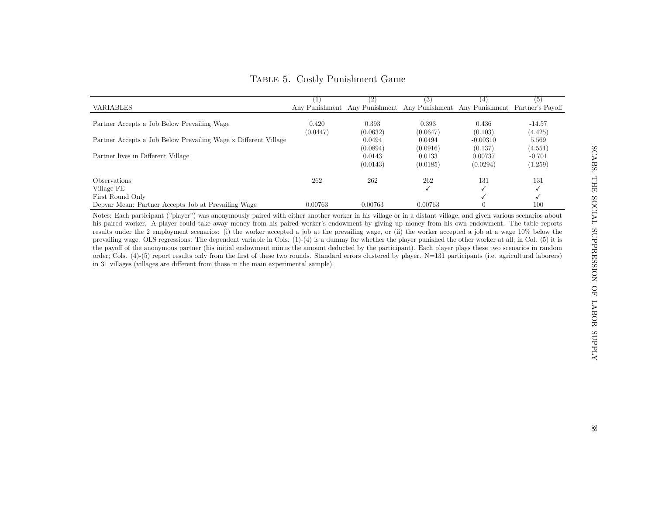100

|                                                                 |          |                                                                              | (3)      | (4)        |          |
|-----------------------------------------------------------------|----------|------------------------------------------------------------------------------|----------|------------|----------|
| VARIABLES                                                       |          | Any Punishment Any Punishment Any Punishment Any Punishment Partner's Payoff |          |            |          |
|                                                                 |          |                                                                              |          |            |          |
| Partner Accepts a Job Below Prevailing Wage                     | 0.420    | 0.393                                                                        | 0.393    | 0.436      | $-14.57$ |
|                                                                 | (0.0447) | (0.0632)                                                                     | (0.0647) | (0.103)    | (4.425)  |
| Partner Accepts a Job Below Prevailing Wage x Different Village |          | 0.0494                                                                       | 0.0494   | $-0.00310$ | 5.569    |
|                                                                 |          | (0.0894)                                                                     | (0.0916) | (0.137)    | (4.551)  |
| Partner lives in Different Village                              |          | 0.0143                                                                       | 0.0133   | 0.00737    | $-0.701$ |
|                                                                 |          | (0.0143)                                                                     | (0.0185) | (0.0294)   | (1.259)  |
| Observations                                                    | 262      | 262                                                                          | 262      | 131        | 131      |
| Village FE                                                      |          |                                                                              |          |            |          |
| First Round Only                                                |          |                                                                              |          |            |          |
| יוי תודון הורח זו ת                                             | 0.00769  | 0.00709                                                                      | 0.00709  | $\Omega$   | 100      |

Depvar Mean: Partner Accepts Job at Prevailing Wage 0.00763 0.00763 0.00763 0 100

# <span id="page-37-0"></span>Table 5. Costly Punishment Game

 Notes: Each participant ("player") was anonymously paired with either another worker in his village or in <sup>a</sup> distant village, and <sup>g</sup>iven various scenarios about his paired worker. A <sup>p</sup>layer could take away money from his paired worker's endowment by giving up money from his own endowment. The table reports results under the <sup>2</sup> employment scenarios: (i) the worker accepted <sup>a</sup> job at the prevailing wage, or (ii) the worker accepted <sup>a</sup> job at <sup>a</sup> wage 10% below the prevailing wage. OLS regressions. The dependent variable in Cols. (1)-(4) is <sup>a</sup> dummy for whether the <sup>p</sup>layer punished the other worker at all; in Col. (5) it is the payoff of the anonymous partner (his initial endowment minus the amount deducted by the participant). Each <sup>p</sup>layer <sup>p</sup>lays these two scenarios in random order; Cols. (4)-(5) report results only from the first of these two rounds. Standard errors clustered by <sup>p</sup>layer. N=131 participants (i.e. agricultural laborers)in <sup>31</sup> villages (villages are different from those in the main experimental sample).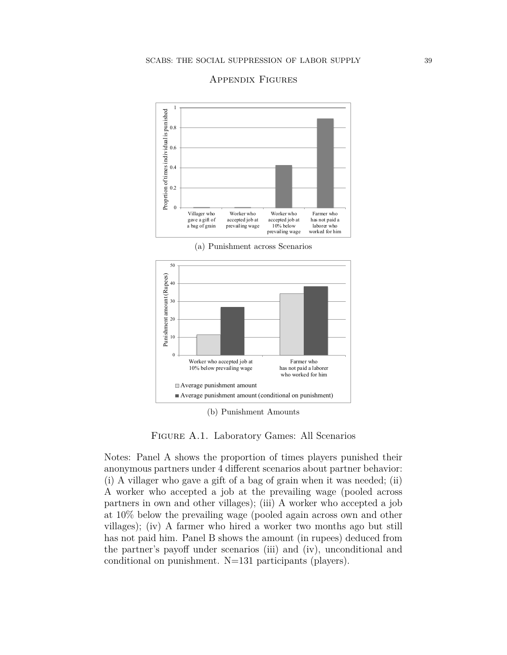

#### Appendix Figures

(a) Punishment across Scenarios



(b) Punishment Amounts

Figure A.1. Laboratory Games: All Scenarios

Notes: Panel A shows the proportion of times players punished their anonymous partners under 4 different scenarios about partner behavior: (i) A villager who gave a gift of a bag of grain when it was needed; (ii) A worker who accepted a job at the prevailing wage (pooled across partners in own and other villages); (iii) A worker who accepted a job at 10% below the prevailing wage (pooled again across own and other villages); (iv) A farmer who hired a worker two months ago but still has not paid him. Panel B shows the amount (in rupees) deduced from the partner's payoff under scenarios (iii) and (iv), unconditional and conditional on punishment. N=131 participants (players).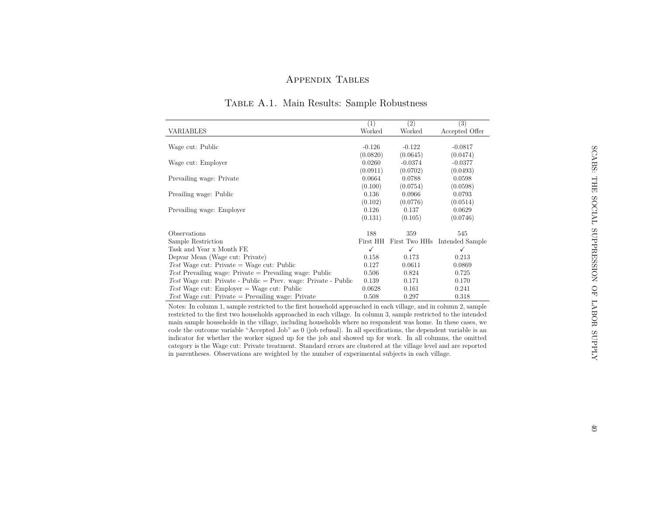# Appendix Tables

|                                                                | (1)          | (2)       | (3)                           |
|----------------------------------------------------------------|--------------|-----------|-------------------------------|
| <b>VARIABLES</b>                                               | Worked       | Worked    | Accepted Offer                |
|                                                                |              |           |                               |
| Wage cut: Public                                               | $-0.126$     | $-0.122$  | $-0.0817$                     |
|                                                                | (0.0820)     | (0.0645)  | (0.0474)                      |
| Wage cut: Employer                                             | 0.0260       | $-0.0374$ | $-0.0377$                     |
|                                                                | (0.0911)     | (0.0702)  | (0.0493)                      |
| Prevailing wage: Private                                       | 0.0664       | 0.0788    | 0.0598                        |
|                                                                | (0.100)      | (0.0754)  | (0.0598)                      |
| Preailing wage: Public                                         | 0.136        | 0.0966    | 0.0793                        |
|                                                                | (0.102)      | (0.0776)  | (0.0514)                      |
| Prevailing wage: Employer                                      | 0.126        | 0.137     | 0.0629                        |
|                                                                | (0.131)      | (0.105)   | (0.0746)                      |
|                                                                |              |           |                               |
| Observations                                                   | 188          | 359       | 545                           |
| Sample Restriction                                             | First HH     |           | First Two HHs Intended Sample |
| Task and Year x Month FE                                       | $\checkmark$ | ✓         | ✓                             |
| Depvar Mean (Wage cut: Private)                                | 0.158        | 0.173     | 0.213                         |
| Test Wage cut: Private = Wage cut: Public                      | 0.127        | 0.0611    | 0.0869                        |
| Test Prevailing wage: Private $=$ Prevailing wage: Public      | 0.506        | 0.824     | 0.725                         |
| Test Wage cut: Private - Public = Prev. wage: Private - Public | 0.139        | 0.171     | 0.170                         |
| Test Wage cut: Employer = Wage cut: Public                     | 0.0628       | 0.161     | 0.241                         |
| Test Wage cut: Private $=$ Prevailing wage: Private            | 0.508        | 0.297     | 0.318                         |

## Table A.1. Main Results: Sample Robustness

<span id="page-39-0"></span> Notes: In column 1, sample restricted to the first household approached in each village, and in column 2, sample restricted to the first two households approached in each village. In column 3, sample restricted to the intended main sample households in the village, including households where no respondent was home. In these cases, we code the outcome variable "Accepted Job" as <sup>0</sup> (job refusal). In all specifications, the dependent variable is an indicator for whether the worker signed up for the job and showed up for work. In all columns, the omitted category is the Wage cut: Private treatment. Standard errors are clustered at the village level and are reportedin parentheses. Observations are weighted by the number of experimental subjects in each village.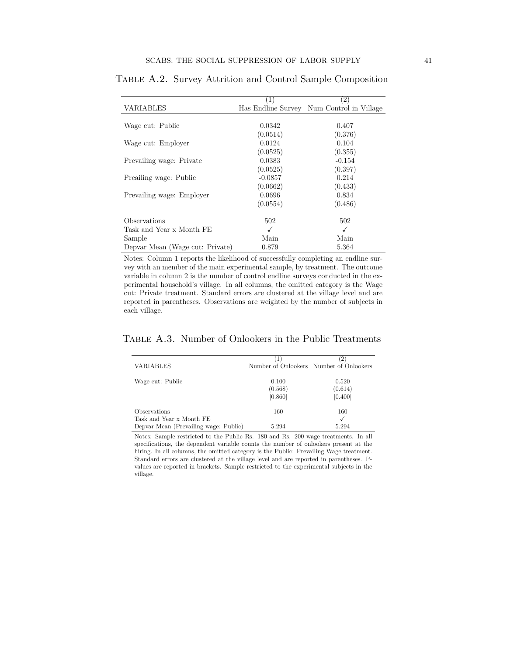|                                 | (1)       | $^{(2)}$                                  |
|---------------------------------|-----------|-------------------------------------------|
| VARIABLES                       |           | Has Endline Survey Num Control in Village |
|                                 |           |                                           |
| Wage cut: Public                | 0.0342    | 0.407                                     |
|                                 | (0.0514)  | (0.376)                                   |
| Wage cut: Employer              | 0.0124    | 0.104                                     |
|                                 | (0.0525)  | (0.355)                                   |
| Prevailing wage: Private        | 0.0383    | $-0.154$                                  |
|                                 | (0.0525)  | (0.397)                                   |
| Preailing wage: Public          | $-0.0857$ | 0.214                                     |
|                                 | (0.0662)  | (0.433)                                   |
| Prevailing wage: Employer       | 0.0696    | 0.834                                     |
|                                 | (0.0554)  | (0.486)                                   |
| Observations                    | 502       | 502                                       |
| Task and Year x Month FE        | √         | ✓                                         |
| Sample                          | Main      | Main                                      |
| Depvar Mean (Wage cut: Private) | 0.879     | 5.364                                     |

Table A.2. Survey Attrition and Control Sample Composition

Notes: Column 1 reports the likelihood of successfully completing an endline survey with an member of the main experimental sample, by treatment. The outcome variable in column 2 is the number of control endline surveys conducted in the experimental household's village. In all columns, the omitted category is the Wage cut: Private treatment. Standard errors are clustered at the village level and are reported in parentheses. Observations are weighted by the number of subjects in each village.

### <span id="page-40-0"></span>Table A.3. Number of Onlookers in the Public Treatments

|                                       |         | $^{2}$                                  |
|---------------------------------------|---------|-----------------------------------------|
| <b>VARIABLES</b>                      |         | Number of Onlookers Number of Onlookers |
|                                       |         |                                         |
| Wage cut: Public                      | 0.100   | 0.520                                   |
|                                       | (0.568) | (0.614)                                 |
|                                       | [0.860] | [0.400]                                 |
| Observations                          | 160     | 160                                     |
| Task and Year x Month FE              |         |                                         |
| Depvar Mean (Prevailing wage: Public) | 5.294   | 5.294                                   |

Notes: Sample restricted to the Public Rs. 180 and Rs. 200 wage treatments. In all specifications, the dependent variable counts the number of onlookers present at the hiring. In all columns, the omitted category is the Public: Prevailing Wage treatment. Standard errors are clustered at the village level and are reported in parentheses. Pvalues are reported in brackets. Sample restricted to the experimental subjects in the village.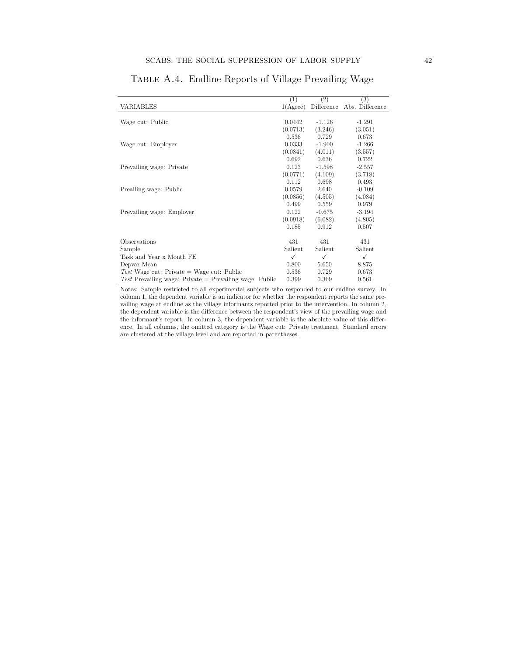<span id="page-41-0"></span>

|                                                                  | (1)                  | (2)        | $\left( 3\right)$ |
|------------------------------------------------------------------|----------------------|------------|-------------------|
| VARIABLES                                                        | 1(A <sub>gre</sub> ) | Difference | Abs. Difference   |
|                                                                  |                      |            |                   |
| Wage cut: Public                                                 | 0.0442               | $-1.126$   | $-1.291$          |
|                                                                  | (0.0713)             | (3.246)    | (3.051)           |
|                                                                  | 0.536                | 0.729      | 0.673             |
| Wage cut: Employer                                               | 0.0333               | $-1.900$   | $-1.266$          |
|                                                                  | (0.0841)             | (4.011)    | (3.557)           |
|                                                                  | 0.692                | 0.636      | 0.722             |
| Prevailing wage: Private                                         | 0.123                | $-1.598$   | $-2.557$          |
|                                                                  | (0.0771)             | (4.109)    | (3.718)           |
|                                                                  | 0.112                | 0.698      | 0.493             |
| Preailing wage: Public                                           | 0.0579               | 2.640      | $-0.109$          |
|                                                                  | (0.0856)             | (4.505)    | (4.084)           |
|                                                                  | 0.499                | 0.559      | 0.979             |
| Prevailing wage: Employer                                        | 0.122                | $-0.675$   | $-3.194$          |
|                                                                  | (0.0918)             | (6.082)    | (4.805)           |
|                                                                  | 0.185                | 0.912      | 0.507             |
|                                                                  |                      |            |                   |
| Observations                                                     | 431                  | 431        | 431               |
| Sample                                                           | Salient              | Salient    | Salient           |
| Task and Year x Month FE                                         | ✓                    | ✓          | ✓                 |
| Depvar Mean                                                      | 0.800                | 5.650      | 8.875             |
| Test Wage cut: Private = Wage cut: Public                        | 0.536                | 0.729      | 0.673             |
| <i>Test</i> Prevailing wage: Private $=$ Prevailing wage: Public | 0.399                | 0.369      | 0.561             |

Table A.4. Endline Reports of Village Prevailing Wage

Notes: Sample restricted to all experimental subjects who responded to our endline survey. In column 1, the dependent variable is an indicator for whether the respondent reports the same prevailing wage at endline as the village informants reported prior to the intervention. In column 2, the dependent variable is the difference between the respondent's view of the prevailing wage and the informant's report. In column 3, the dependent variable is the absolute value of this difference. In all columns, the omitted category is the Wage cut: Private treatment. Standard errors are clustered at the village level and are reported in parentheses.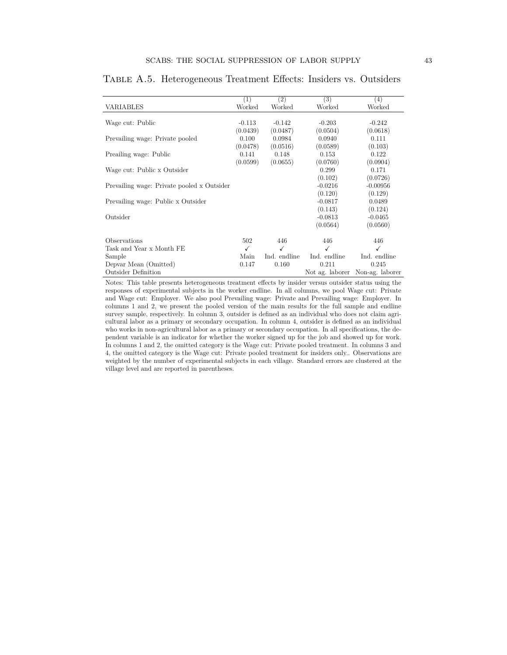|                                            | (1)      | $\left( 2\right)$ | (3)          | (4)                             |
|--------------------------------------------|----------|-------------------|--------------|---------------------------------|
| VARIABLES                                  | Worked   | Worked            | Worked       | Worked                          |
|                                            |          |                   |              |                                 |
| Wage cut: Public                           | $-0.113$ | $-0.142$          | $-0.203$     | $-0.242$                        |
|                                            | (0.0439) | (0.0487)          | (0.0504)     | (0.0618)                        |
| Prevailing wage: Private pooled            | 0.100    | 0.0984            | 0.0940       | 0.111                           |
|                                            | (0.0478) | (0.0516)          | (0.0589)     | (0.103)                         |
| Preailing wage: Public                     | 0.141    | 0.148             | 0.153        | 0.122                           |
|                                            | (0.0599) | (0.0655)          | (0.0760)     | (0.0904)                        |
| Wage cut: Public x Outsider                |          |                   | 0.299        | 0.171                           |
|                                            |          |                   | (0.102)      | (0.0726)                        |
| Prevailing wage: Private pooled x Outsider |          |                   | $-0.0216$    | $-0.00956$                      |
|                                            |          |                   | (0.120)      | (0.129)                         |
| Prevailing wage: Public x Outsider         |          |                   | $-0.0817$    | 0.0489                          |
|                                            |          |                   | (0.143)      | (0.124)                         |
| Outsider                                   |          |                   | $-0.0813$    | $-0.0465$                       |
|                                            |          |                   | (0.0564)     | (0.0560)                        |
|                                            |          |                   |              |                                 |
| Observations                               | 502      | 446               | 446          | 446                             |
| Task and Year x Month FE                   | ✓        | $\checkmark$      | ✓            | ✓                               |
| Sample                                     | Main     | Ind. endline      | Ind. endline | Ind. endline                    |
| Depvar Mean (Omitted)                      | 0.147    | 0.160             | 0.211        | 0.245                           |
| <b>Outsider Definition</b>                 |          |                   |              | Not ag. laborer Non-ag. laborer |

Table A.5. Heterogeneous Treatment Effects: Insiders vs. Outsiders

Notes: This table presents heterogeneous treatment effects by insider versus outsider status using the responses of experimental subjects in the worker endline. In all columns, we pool Wage cut: Private and Wage cut: Employer. We also pool Prevailing wage: Private and Prevailing wage: Employer. In columns 1 and 2, we present the pooled version of the main results for the full sample and endline survey sample, respectively. In column 3, outsider is defined as an individual who does not claim agricultural labor as a primary or secondary occupation. In column 4, outsider is defined as an individual who works in non-agricultural labor as a primary or secondary occupation. In all specifications, the dependent variable is an indicator for whether the worker signed up for the job and showed up for work. In columns 1 and 2, the omitted category is the Wage cut: Private pooled treatment. In columns 3 and 4, the omitted category is the Wage cut: Private pooled treatment for insiders only.. Observations are weighted by the number of experimental subjects in each village. Standard errors are clustered at the village level and are reported in parentheses.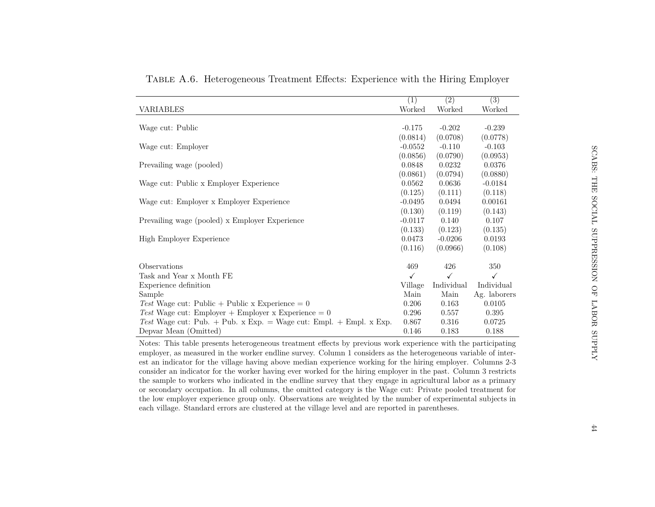|                                                                    | (1)          | (2)                 | $\overline{(3)}$ |
|--------------------------------------------------------------------|--------------|---------------------|------------------|
| VARIABLES                                                          | Worked       | Worked              | Worked           |
|                                                                    |              |                     |                  |
| Wage cut: Public                                                   | $-0.175$     | $-0.202$            | $-0.239$         |
|                                                                    | (0.0814)     | (0.0708)            | (0.0778)         |
| Wage cut: Employer                                                 | $-0.0552$    | $-0.110$            | $-0.103$         |
|                                                                    | (0.0856)     | (0.0790)            | (0.0953)         |
| Prevailing wage (pooled)                                           | 0.0848       | 0.0232              | 0.0376           |
|                                                                    | (0.0861)     | (0.0794)            | (0.0880)         |
| Wage cut: Public x Employer Experience                             | 0.0562       | 0.0636              | $-0.0184$        |
|                                                                    | (0.125)      | (0.111)             | (0.118)          |
| Wage cut: Employer x Employer Experience                           | $-0.0495$    | 0.0494              | 0.00161          |
|                                                                    | (0.130)      | (0.119)             | (0.143)          |
| Prevailing wage (pooled) x Employer Experience                     | $-0.0117$    | 0.140               | 0.107            |
|                                                                    | (0.133)      | (0.123)             | (0.135)          |
| High Employer Experience                                           | 0.0473       | $-0.0206$           | 0.0193           |
|                                                                    | (0.116)      | (0.0966)            | (0.108)          |
|                                                                    |              |                     |                  |
| Observations                                                       | 469          | 426<br>$\checkmark$ | 350              |
| Task and Year x Month FE                                           | $\checkmark$ |                     | $\checkmark$     |
| Experience definition                                              | Village      | Individual          | Individual       |
| Sample                                                             | Main         | Main                | Ag. laborers     |
| Test Wage cut: Public + Public x Experience = $0$                  | 0.206        | 0.163               | 0.0105           |
| Test Wage cut: Employer + Employer x Experience = $0$              | 0.296        | 0.557               | 0.395            |
| Test Wage cut: Pub. + Pub. x Exp. = Wage cut: Empl. + Empl. x Exp. | 0.867        | 0.316               | 0.0725           |
| Depvar Mean (Omitted)                                              | 0.146        | 0.183               | 0.188            |

Table A.6. Heterogeneous Treatment Effects: Experience with the Hiring Employer

 Notes: This table presents heterogeneous treatment effects by previous work experience with the participating employer, as measured in the worker endline survey. Column 1 considers as the heterogeneous variable of interest an indicator for the village having above median experience working for the hiring employer. Columns 2-3 consider an indicator for the worker having ever worked for the hiring employer in the past. Column 3 restricts the sample to workers who indicated in the endline survey that they engage in agricultural labor as <sup>a</sup> primary or secondary occupation. In all columns, the omitted category is the Wage cut: Private pooled treatment for the low employer experience group only. Observations are weighted by the number of experimental subjects ineach village. Standard errors are clustered at the village level and are reported in parentheses.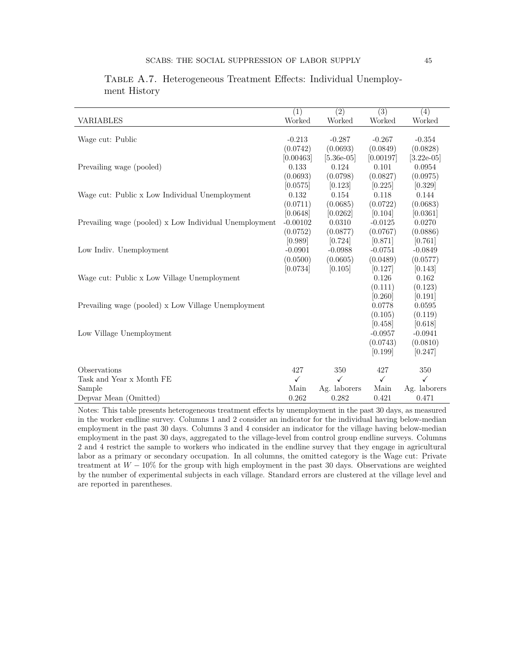|                                                        | $\overline{(1)}$ | $\overline{(2)}$ | $\overline{(3)}$    | $\overline{(4)}$ |
|--------------------------------------------------------|------------------|------------------|---------------------|------------------|
| <b>VARIABLES</b>                                       | Worked           | Worked           | Worked              | Worked           |
|                                                        |                  |                  |                     |                  |
| Wage cut: Public                                       | $-0.213$         | $-0.287$         | $-0.267$            | $-0.354$         |
|                                                        | (0.0742)         | (0.0693)         | (0.0849)            | (0.0828)         |
|                                                        | [0.00463]        | $[5.36e-05]$     | [0.00197]           | $[3.22e-05]$     |
| Prevailing wage (pooled)                               | 0.133            | 0.124            | 0.101               | 0.0954           |
|                                                        | (0.0693)         | (0.0798)         | (0.0827)            | (0.0975)         |
|                                                        | [0.0575]         | [0.123]          | [0.225]             | [0.329]          |
| Wage cut: Public x Low Individual Unemployment         | 0.132            | 0.154            | 0.118               | 0.144            |
|                                                        | (0.0711)         | (0.0685)         | (0.0722)            | (0.0683)         |
|                                                        | [0.0648]         | [0.0262]         | [0.104]             | [0.0361]         |
| Prevailing wage (pooled) x Low Individual Unemployment | $-0.00102$       | 0.0310           | $-0.0125$           | 0.0270           |
|                                                        | (0.0752)         | (0.0877)         | (0.0767)            | (0.0886)         |
|                                                        | [0.989]          | [0.724]          | [0.871]             | [0.761]          |
| Low Indiv. Unemployment                                | $-0.0901$        | $-0.0988$        | $-0.0751$           | $-0.0849$        |
|                                                        | (0.0500)         | (0.0605)         | (0.0489)            | (0.0577)         |
|                                                        | [0.0734]         | [0.105]          | [0.127]             | [0.143]          |
| Wage cut: Public x Low Village Unemployment            |                  |                  | 0.126               | 0.162            |
|                                                        |                  |                  | (0.111)             | (0.123)          |
|                                                        |                  |                  | [0.260]             | [0.191]          |
| Prevailing wage (pooled) x Low Village Unemployment    |                  |                  | 0.0778              | 0.0595           |
|                                                        |                  |                  | (0.105)             | (0.119)          |
|                                                        |                  |                  | [0.458]             | [0.618]          |
| Low Village Unemployment                               |                  |                  | $-0.0957$           | $-0.0941$        |
|                                                        |                  |                  | (0.0743)<br>[0.199] | (0.0810)         |
|                                                        |                  |                  |                     | [0.247]          |
| Observations                                           | 427              | 350              | 427                 | 350              |
| Task and Year x Month FE                               | $\checkmark$     | $\checkmark$     | $\checkmark$        | $\checkmark$     |
| Sample                                                 | Main             | Ag. laborers     | Main                | Ag. laborers     |
| Depvar Mean (Omitted)                                  | 0.262            | 0.282            | 0.421               | 0.471            |

|              | TABLE A.7. Heterogeneous Treatment Effects: Individual Unemploy- |  |  |
|--------------|------------------------------------------------------------------|--|--|
| ment History |                                                                  |  |  |

Notes: This table presents heterogeneous treatment effects by unemployment in the past 30 days, as measured in the worker endline survey. Columns 1 and 2 consider an indicator for the individual having below-median employment in the past 30 days. Columns 3 and 4 consider an indicator for the village having below-median employment in the past 30 days, aggregated to the village-level from control group endline surveys. Columns 2 and 4 restrict the sample to workers who indicated in the endline survey that they engage in agricultural labor as a primary or secondary occupation. In all columns, the omitted category is the Wage cut: Private treatment at *W* − 10% for the group with high employment in the past 30 days. Observations are weighted by the number of experimental subjects in each village. Standard errors are clustered at the village level and are reported in parentheses.